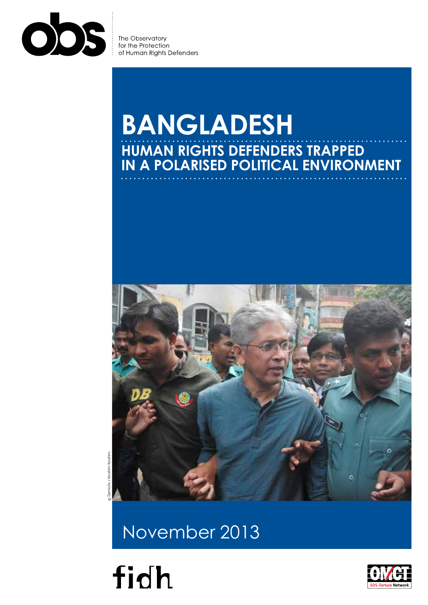

of Human Rights Defenders

# **BANGLADESH Human rights defenders trapped in a polarised political environment**



© Demotix / Ibrahim Ibrahim

November 2013



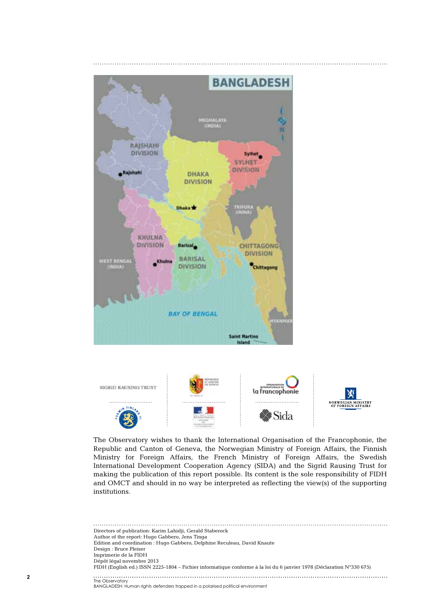



The Observatory wishes to thank the International Organisation of the Francophonie, the Republic and Canton of Geneva, the Norwegian Ministry of Foreign Affairs, the Finnish Ministry for Foreign Affairs, the French Ministry of Foreign Affairs, the Swedish International Development Cooperation Agency (SIDA) and the Sigrid Rausing Trust for making the publication of this report possible. Its content is the sole responsibility of FIDH and OMCT and should in no way be interpreted as reflecting the view(s) of the supporting institutions.

Directors of publication: Karim Lahidji, Gerald Staberock Author of the report: Hugo Gabbero, Jens Tinga Edition and coordination : Hugo Gabbero, Delphine Reculeau, David Knaute Design : Bruce Pleiser Imprimerie de la FIDH Dépôt légal novembre 2013 FIDH (English ed.) ISSN 2225-1804 – Fichier informatique conforme à la loi du 6 janvier 1978 (Déclaration N°330 675) ................<br>The Observatory

BANGLADESH: Human rights defenders trapped in a polarised political environment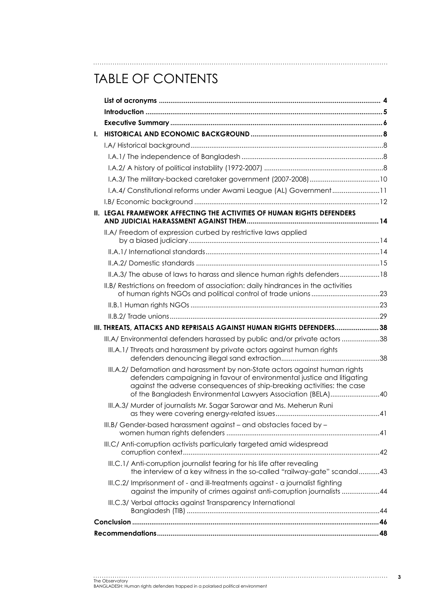# TABLE OF CONTENTS

| I. |                                                                                                                                                                                                                                                                                                  |  |
|----|--------------------------------------------------------------------------------------------------------------------------------------------------------------------------------------------------------------------------------------------------------------------------------------------------|--|
|    |                                                                                                                                                                                                                                                                                                  |  |
|    |                                                                                                                                                                                                                                                                                                  |  |
|    |                                                                                                                                                                                                                                                                                                  |  |
|    |                                                                                                                                                                                                                                                                                                  |  |
|    | I.A.4/ Constitutional reforms under Awami League (AL) Government11                                                                                                                                                                                                                               |  |
|    |                                                                                                                                                                                                                                                                                                  |  |
|    | II. LEGAL FRAMEWORK AFFECTING THE ACTIVITIES OF HUMAN RIGHTS DEFENDERS                                                                                                                                                                                                                           |  |
|    | II.A/ Freedom of expression curbed by restrictive laws applied                                                                                                                                                                                                                                   |  |
|    |                                                                                                                                                                                                                                                                                                  |  |
|    |                                                                                                                                                                                                                                                                                                  |  |
|    | II.A.3/ The abuse of laws to harass and silence human rights defenders 18                                                                                                                                                                                                                        |  |
|    | II.B/ Restrictions on freedom of association: daily hindrances in the activities                                                                                                                                                                                                                 |  |
|    |                                                                                                                                                                                                                                                                                                  |  |
|    |                                                                                                                                                                                                                                                                                                  |  |
|    | III. THREATS, ATTACKS AND REPRISALS AGAINST HUMAN RIGHTS DEFENDERS 38                                                                                                                                                                                                                            |  |
|    | III.A/Environmental defenders harassed by public and/or private actors 38                                                                                                                                                                                                                        |  |
|    | III.A.1/ Threats and harassment by private actors against human rights                                                                                                                                                                                                                           |  |
|    | III.A.2/ Defamation and harassment by non-State actors against human rights<br>defenders campaigning in favour of environmental justice and litigating<br>against the adverse consequences of ship-breaking activities: the case<br>of the Bangladesh Environmental Lawyers Association (BELA)40 |  |
|    | III.A.3/ Murder of journalists Mr. Sagar Sarowar and Ms. Meherun Runi                                                                                                                                                                                                                            |  |
|    | III.B/ Gender-based harassment against - and obstacles faced by -                                                                                                                                                                                                                                |  |
|    | III.C/ Anti-corruption activists particularly targeted amid widespread                                                                                                                                                                                                                           |  |
|    | III.C.1/ Anti-corruption journalist fearing for his life after revealing<br>the interview of a key witness in the so-called "railway-gate" scandal43                                                                                                                                             |  |
|    | III.C.2/ Imprisonment of - and ill-treatments against - a journalist fighting<br>against the impunity of crimes against anti-corruption journalists 44                                                                                                                                           |  |
|    | III.C.3/ Verbal attacks against Transparency International                                                                                                                                                                                                                                       |  |
|    |                                                                                                                                                                                                                                                                                                  |  |
|    |                                                                                                                                                                                                                                                                                                  |  |
|    |                                                                                                                                                                                                                                                                                                  |  |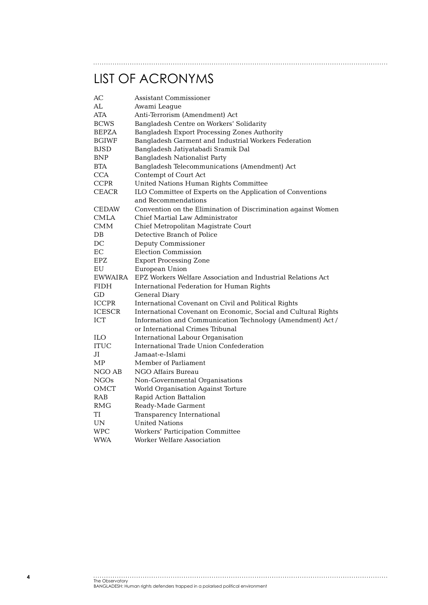# List of acronyms

| AС           | Assistant Commissioner                                         |
|--------------|----------------------------------------------------------------|
| AL           | Awami League                                                   |
| ATA          | Anti-Terrorism (Amendment) Act                                 |
| <b>BCWS</b>  | Bangladesh Centre on Workers' Solidarity                       |
| BEPZA        | Bangladesh Export Processing Zones Authority                   |
| BGIWF        | Bangladesh Garment and Industrial Workers Federation           |
| BJSD         | Bangladesh Jatiyatabadi Sramik Dal                             |
| BNP          | Bangladesh Nationalist Party                                   |
| BTA          | Bangladesh Telecommunications (Amendment) Act                  |
| <b>CCA</b>   | Contempt of Court Act                                          |
| <b>CCPR</b>  | United Nations Human Rights Committee                          |
| <b>CEACR</b> | ILO Committee of Experts on the Application of Conventions     |
|              | and Recommendations                                            |
| CEDAW        | Convention on the Elimination of Discrimination against Women  |
| <b>CMLA</b>  | Chief Martial Law Administrator                                |
| CMM          | Chief Metropolitan Magistrate Court                            |
| DB           | Detective Branch of Police                                     |
| DC           | Deputy Commissioner                                            |
| EC           | <b>Election Commission</b>                                     |
| EPZ          | <b>Export Processing Zone</b>                                  |
| ΕU           | European Union                                                 |
| EWWAIRA      | EPZ Workers Welfare Association and Industrial Relations Act   |
| FIDH         | International Federation for Human Rights                      |
| GD           | General Diary                                                  |
| <b>ICCPR</b> | International Covenant on Civil and Political Rights           |
| ICESCR       | International Covenant on Economic, Social and Cultural Rights |
| ICT          | Information and Communication Technology (Amendment) Act /     |
|              | or International Crimes Tribunal                               |
| ILO          | International Labour Organisation                              |
| <b>ITUC</b>  | International Trade Union Confederation                        |
| JI           | Jamaat-e-Islami                                                |
| MP           | Member of Parliament                                           |
| NGO AB       | NGO Affairs Bureau                                             |
| NGOs         | Non-Governmental Organisations                                 |
| OMCT         | World Organisation Against Torture                             |
| RAB          | Rapid Action Battalion                                         |
| RMG          | Ready-Made Garment                                             |
| TI           | Transparency International                                     |
| UN           | <b>United Nations</b>                                          |
| WPC          | Workers' Participation Committee                               |
| WWA          | Worker Welfare Association                                     |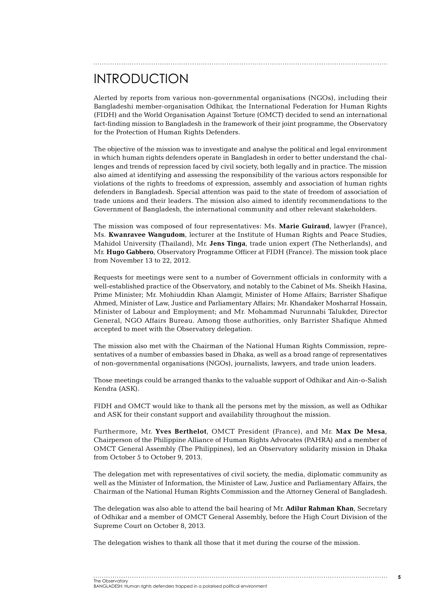## INTRODUCTION

Alerted by reports from various non-governmental organisations (NGOs), including their Bangladeshi member-organisation Odhikar, the International Federation for Human Rights (FIDH) and the World Organisation Against Torture (OMCT) decided to send an international fact-finding mission to Bangladesh in the framework of their joint programme, the Observatory for the Protection of Human Rights Defenders.

The objective of the mission was to investigate and analyse the political and legal environment in which human rights defenders operate in Bangladesh in order to better understand the challenges and trends of repression faced by civil society, both legally and in practice. The mission also aimed at identifying and assessing the responsibility of the various actors responsible for violations of the rights to freedoms of expression, assembly and association of human rights defenders in Bangladesh. Special attention was paid to the state of freedom of association of trade unions and their leaders. The mission also aimed to identify recommendations to the Government of Bangladesh, the international community and other relevant stakeholders.

The mission was composed of four representatives: Ms. **Marie Guiraud**, lawyer (France), Ms. **Kwanravee Wangudom**, lecturer at the Institute of Human Rights and Peace Studies, Mahidol University (Thailand), Mr. **Jens Tinga**, trade union expert (The Netherlands), and Mr. **Hugo Gabbero**, Observatory Programme Officer at FIDH (France). The mission took place from November 13 to 22, 2012.

Requests for meetings were sent to a number of Government officials in conformity with a well-established practice of the Observatory, and notably to the Cabinet of Ms. Sheikh Hasina, Prime Minister; Mr. Mohiuddin Khan Alamgir, Minister of Home Affairs; Barrister Shafique Ahmed, Minister of Law, Justice and Parliamentary Affairs; Mr. Khandaker Mosharraf Hossain, Minister of Labour and Employment; and Mr. Mohammad Nurunnabi Talukder, Director General, NGO Affairs Bureau. Among those authorities, only Barrister Shafique Ahmed accepted to meet with the Observatory delegation.

The mission also met with the Chairman of the National Human Rights Commission, representatives of a number of embassies based in Dhaka, as well as a broad range of representatives of non-governmental organisations (NGOs), journalists, lawyers, and trade union leaders.

Those meetings could be arranged thanks to the valuable support of Odhikar and Ain-o-Salish Kendra (ASK).

FIDH and OMCT would like to thank all the persons met by the mission, as well as Odhikar and ASK for their constant support and availability throughout the mission.

Furthermore, Mr. **Yves Berthelot**, OMCT President (France), and Mr. **Max De Mesa**, Chairperson of the Philippine Alliance of Human Rights Advocates (PAHRA) and a member of OMCT General Assembly (The Philippines), led an Observatory solidarity mission in Dhaka from October 5 to October 9, 2013.

The delegation met with representatives of civil society, the media, diplomatic community as well as the Minister of Information, the Minister of Law, Justice and Parliamentary Affairs, the Chairman of the National Human Rights Commission and the Attorney General of Bangladesh.

The delegation was also able to attend the bail hearing of Mr. **Adilur Rahman Khan**, Secretary of Odhikar and a member of OMCT General Assembly, before the High Court Division of the Supreme Court on October 8, 2013.

The delegation wishes to thank all those that it met during the course of the mission.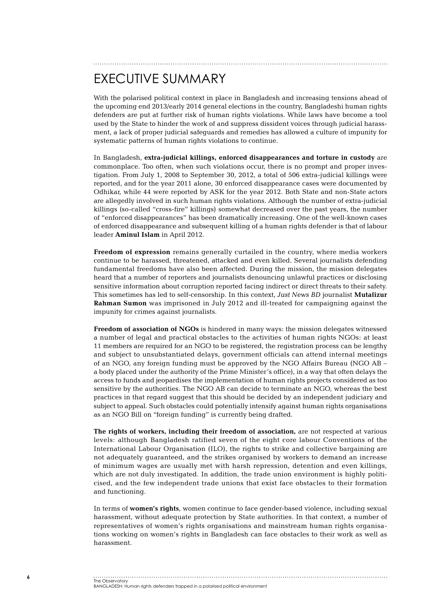# Executive Summary

With the polarised political context in place in Bangladesh and increasing tensions ahead of the upcoming end 2013/early 2014 general elections in the country, Bangladeshi human rights defenders are put at further risk of human rights violations. While laws have become a tool used by the State to hinder the work of and suppress dissident voices through judicial harassment, a lack of proper judicial safeguards and remedies has allowed a culture of impunity for systematic patterns of human rights violations to continue.

In Bangladesh, **extra-judicial killings, enforced disappearances and torture in custody** are commonplace. Too often, when such violations occur, there is no prompt and proper investigation. From July 1, 2008 to September 30, 2012, a total of 506 extra-judicial killings were reported, and for the year 2011 alone, 30 enforced disappearance cases were documented by Odhikar, while 44 were reported by ASK for the year 2012. Both State and non-State actors are allegedly involved in such human rights violations. Although the number of extra-judicial killings (so-called "cross-fire" killings) somewhat decreased over the past years, the number of "enforced disappearances" has been dramatically increasing. One of the well-known cases of enforced disappearance and subsequent killing of a human rights defender is that of labour leader **Aminul Islam** in April 2012.

**Freedom of expression** remains generally curtailed in the country, where media workers continue to be harassed, threatened, attacked and even killed. Several journalists defending fundamental freedoms have also been affected. During the mission, the mission delegates heard that a number of reporters and journalists denouncing unlawful practices or disclosing sensitive information about corruption reported facing indirect or direct threats to their safety. This sometimes has led to self-censorship. In this context, *Just News BD* journalist **Mutafizur Rahman Sumon** was imprisoned in July 2012 and ill-treated for campaigning against the impunity for crimes against journalists.

**Freedom of association of NGOs** is hindered in many ways: the mission delegates witnessed a number of legal and practical obstacles to the activities of human rights NGOs: at least 11 members are required for an NGO to be registered, the registration process can be lengthy and subject to unsubstantiated delays, government officials can attend internal meetings of an NGO, any foreign funding must be approved by the NGO Affairs Bureau (NGO AB – a body placed under the authority of the Prime Minister's office), in a way that often delays the access to funds and jeopardises the implementation of human rights projects considered as too sensitive by the authorities. The NGO AB can decide to terminate an NGO, whereas the best practices in that regard suggest that this should be decided by an independent judiciary and subject to appeal. Such obstacles could potentially intensify against human rights organisations as an NGO Bill on "foreign funding" is currently being drafted.

**The rights of workers, including their freedom of association,** are not respected at various levels: although Bangladesh ratified seven of the eight core labour Conventions of the International Labour Organisation (ILO), the rights to strike and collective bargaining are not adequately guaranteed, and the strikes organised by workers to demand an increase of minimum wages are usually met with harsh repression, detention and even killings, which are not duly investigated. In addition, the trade union environment is highly politicised, and the few independent trade unions that exist face obstacles to their formation and functioning.

In terms of **women's rights**, women continue to face gender-based violence, including sexual harassment, without adequate protection by State authorities. In that context, a number of representatives of women's rights organisations and mainstream human rights organisations working on women's rights in Bangladesh can face obstacles to their work as well as harassment.

## The Observatory BANGLADESH: Human rights defenders trapped in a polarised political environment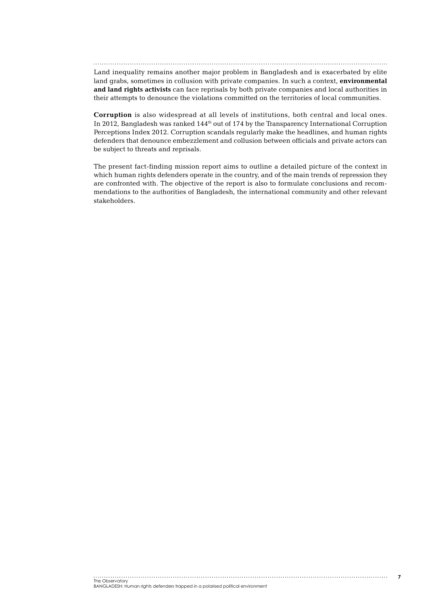Land inequality remains another major problem in Bangladesh and is exacerbated by elite land grabs, sometimes in collusion with private companies. In such a context, **environmental and land rights activists** can face reprisals by both private companies and local authorities in their attempts to denounce the violations committed on the territories of local communities.

**Corruption** is also widespread at all levels of institutions, both central and local ones. In 2012, Bangladesh was ranked 144<sup>th</sup> out of 174 by the Transparency International Corruption Perceptions Index 2012. Corruption scandals regularly make the headlines, and human rights defenders that denounce embezzlement and collusion between officials and private actors can be subject to threats and reprisals.

The present fact-finding mission report aims to outline a detailed picture of the context in which human rights defenders operate in the country, and of the main trends of repression they are confronted with. The objective of the report is also to formulate conclusions and recommendations to the authorities of Bangladesh, the international community and other relevant stakeholders.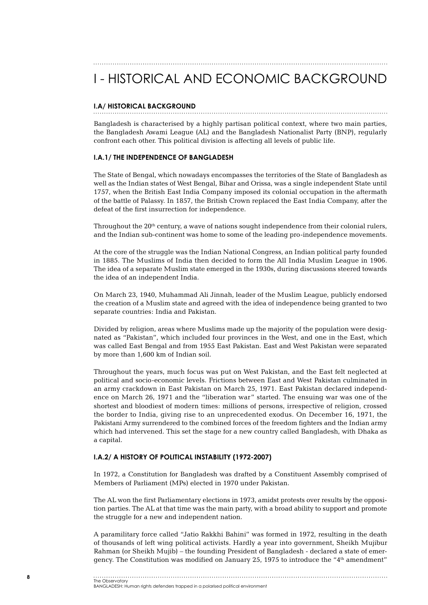## I - HISTORICAL AND ECONOMIC BACKGROUND

#### **I.A/ Historical background**

Bangladesh is characterised by a highly partisan political context, where two main parties, the Bangladesh Awami League (AL) and the Bangladesh Nationalist Party (BNP), regularly confront each other. This political division is affecting all levels of public life.

#### **I.A.1/ The independence of Bangladesh**

The State of Bengal, which nowadays encompasses the territories of the State of Bangladesh as well as the Indian states of West Bengal, Bihar and Orissa, was a single independent State until 1757, when the British East India Company imposed its colonial occupation in the aftermath of the battle of Palassy. In 1857, the British Crown replaced the East India Company, after the defeat of the first insurrection for independence.

Throughout the  $20<sup>th</sup>$  century, a wave of nations sought independence from their colonial rulers, and the Indian sub-continent was home to some of the leading pro-independence movements.

At the core of the struggle was the Indian National Congress, an Indian political party founded in 1885. The Muslims of India then decided to form the All India Muslim League in 1906. The idea of a separate Muslim state emerged in the 1930s, during discussions steered towards the idea of an independent India.

On March 23, 1940, Muhammad Ali Jinnah, leader of the Muslim League, publicly endorsed the creation of a Muslim state and agreed with the idea of independence being granted to two separate countries: India and Pakistan.

Divided by religion, areas where Muslims made up the majority of the population were designated as "Pakistan", which included four provinces in the West, and one in the East, which was called East Bengal and from 1955 East Pakistan. East and West Pakistan were separated by more than 1,600 km of Indian soil.

Throughout the years, much focus was put on West Pakistan, and the East felt neglected at political and socio-economic levels. Frictions between East and West Pakistan culminated in an army crackdown in East Pakistan on March 25, 1971. East Pakistan declared independence on March 26, 1971 and the "liberation war" started. The ensuing war was one of the shortest and bloodiest of modern times: millions of persons, irrespective of religion, crossed the border to India, giving rise to an unprecedented exodus. On December 16, 1971, the Pakistani Army surrendered to the combined forces of the freedom fighters and the Indian army which had intervened. This set the stage for a new country called Bangladesh, with Dhaka as a capital.

#### **I.A.2/ A history of political instability (1972-2007)**

In 1972, a Constitution for Bangladesh was drafted by a Constituent Assembly comprised of Members of Parliament (MPs) elected in 1970 under Pakistan.

The AL won the first Parliamentary elections in 1973, amidst protests over results by the opposition parties. The AL at that time was the main party, with a broad ability to support and promote the struggle for a new and independent nation.

A paramilitary force called "Jatio Rakkhi Bahini" was formed in 1972, resulting in the death of thousands of left wing political activists. Hardly a year into government, Sheikh Mujibur Rahman (or Sheikh Mujib) – the founding President of Bangladesh - declared a state of emergency. The Constitution was modified on January 25, 1975 to introduce the "4th amendment"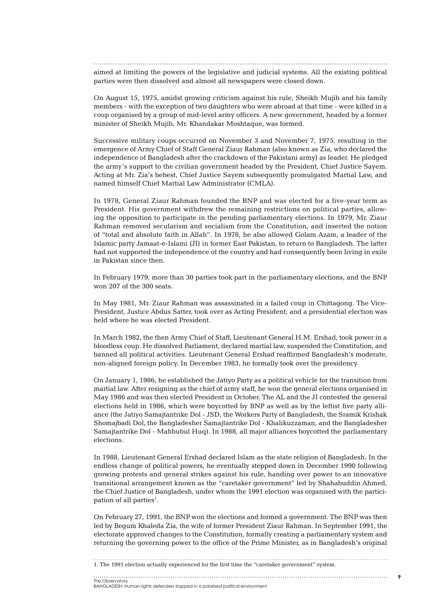aimed at limiting the powers of the legislative and judicial systems. All the existing political parties were then dissolved and almost all newspapers were closed down.

On August 15, 1975, amidst growing criticism against his rule, Sheikh Mujib and his family members - with the exception of two daughters who were abroad at that time - were killed in a coup organised by a group of mid-level army officers. A new government, headed by a former minister of Sheikh Mujib, Mr. Khandakar Moshtaque, was formed.

Successive military coups occurred on November 3 and November 7, 1975, resulting in the emergence of Army Chief of Staff General Ziaur Rahman (also known as Zia, who declared the independence of Bangladesh after the crackdown of the Pakistani army) as leader. He pledged the army's support to the civilian government headed by the President, Chief Justice Sayem. Acting at Mr. Zia's behest, Chief Justice Sayem subsequently promulgated Martial Law, and named himself Chief Martial Law Administrator (CMLA).

In 1978, General Ziaur Rahman founded the BNP and was elected for a five-year term as President. His government withdrew the remaining restrictions on political parties, allowing the opposition to participate in the pending parliamentary elections. In 1979, Mr. Ziaur Rahman removed secularism and socialism from the Constitution, and inserted the notion of "total and absolute faith in Allah". In 1978, he also allowed Golam Azam, a leader of the Islamic party Jamaat-e-Islami (JI) in former East Pakistan, to return to Bangladesh. The latter had not supported the independence of the country and had consequently been living in exile in Pakistan since then.

In February 1979, more than 30 parties took part in the parliamentary elections, and the BNP won 207 of the 300 seats.

In May 1981, Mr. Ziaur Rahman was assassinated in a failed coup in Chittagong. The Vice-President, Justice Abdus Satter, took over as Acting President, and a presidential election was held where he was elected President.

In March 1982, the then Army Chief of Staff, Lieutenant General H.M. Ershad, took power in a bloodless coup. He dissolved Parliament, declared martial law, suspended the Constitution, and banned all political activities. Lieutenant General Ershad reaffirmed Bangladesh's moderate, non-aligned foreign policy. In December 1983, he formally took over the presidency.

On January 1, 1986, he established the Jatiyo Party as a political vehicle for the transition from martial law. After resigning as the chief of army staff, he won the general elections organised in May 1986 and was then elected President in October. The AL and the JI contested the general elections held in 1986, which were boycotted by BNP as well as by the leftist five party alliance (the Jatiyo Samajtantrike Dol - JSD, the Workers Party of Bangladesh, the Sramik Krishak Shomajbadi Dol, the Bangladesher Samajtantrike Dol - Khalikuzzaman, and the Bangladesher Samajtantrike Dol - Mahbubul Huq). In 1988, all major alliances boycotted the parliamentary elections.

In 1988, Lieutenant General Ershad declared Islam as the state religion of Bangladesh. In the endless change of political powers, he eventually stepped down in December 1990 following growing protests and general strikes against his rule, handing over power to an innovative transitional arrangement known as the "caretaker government" led by Shahabuddin Ahmed, the Chief Justice of Bangladesh, under whom the 1991 election was organised with the participation of all parties<sup>1</sup>.

On February 27, 1991, the BNP won the elections and formed a government. The BNP was then led by Begum Khaleda Zia, the wife of former President Ziaur Rahman. In September 1991, the electorate approved changes to the Constitution, formally creating a parliamentary system and returning the governing power to the office of the Prime Minister, as in Bangladesh's original

1. The 1991 election actually experienced for the first time the "caretaker government" system.

## The Observatory

BANGLADESH: Human rights defenders trapped in a polarised political environment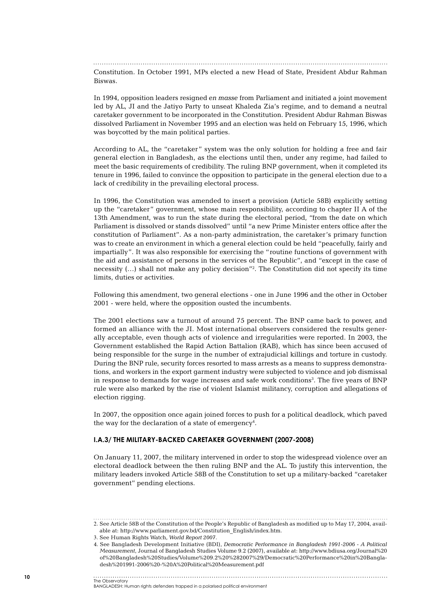Constitution. In October 1991, MPs elected a new Head of State, President Abdur Rahman Biswas.

In 1994, opposition leaders resigned *en masse* from Parliament and initiated a joint movement led by AL, JI and the Jatiyo Party to unseat Khaleda Zia's regime, and to demand a neutral caretaker government to be incorporated in the Constitution. President Abdur Rahman Biswas dissolved Parliament in November 1995 and an election was held on February 15, 1996, which was boycotted by the main political parties.

According to AL, the "caretaker" system was the only solution for holding a free and fair general election in Bangladesh, as the elections until then, under any regime, had failed to meet the basic requirements of credibility. The ruling BNP government, when it completed its tenure in 1996, failed to convince the opposition to participate in the general election due to a lack of credibility in the prevailing electoral process.

In 1996, the Constitution was amended to insert a provision (Article 58B) explicitly setting up the "caretaker" government, whose main responsibility, according to chapter II A of the 13th Amendment, was to run the state during the electoral period, "from the date on which Parliament is dissolved or stands dissolved" until "a new Prime Minister enters office after the constitution of Parliament". As a non-party administration, the caretaker's primary function was to create an environment in which a general election could be held "peacefully, fairly and impartially". It was also responsible for exercising the "routine functions of government with the aid and assistance of persons in the services of the Republic", and "except in the case of necessity (…) shall not make any policy decision"2 . The Constitution did not specify its time limits, duties or activities.

Following this amendment, two general elections - one in June 1996 and the other in October 2001 - were held, where the opposition ousted the incumbents.

The 2001 elections saw a turnout of around 75 percent. The BNP came back to power, and formed an alliance with the JI. Most international observers considered the results generally acceptable, even though acts of violence and irregularities were reported. In 2003, the Government established the Rapid Action Battalion (RAB), which has since been accused of being responsible for the surge in the number of extrajudicial killings and torture in custody. During the BNP rule, security forces resorted to mass arrests as a means to suppress demonstrations, and workers in the export garment industry were subjected to violence and job dismissal in response to demands for wage increases and safe work conditions<sup>3</sup>. The five years of BNP rule were also marked by the rise of violent Islamist militancy, corruption and allegations of election rigging.

In 2007, the opposition once again joined forces to push for a political deadlock, which paved the way for the declaration of a state of emergency<sup>4</sup>.

#### **I.A.3/ The military-backed caretaker government (2007-2008)**

On January 11, 2007, the military intervened in order to stop the widespread violence over an electoral deadlock between the then ruling BNP and the AL. To justify this intervention, the military leaders invoked Article 58B of the Constitution to set up a military-backed "caretaker government" pending elections.

2. See Article 58B of the Constitution of the People's Republic of Bangladesh as modified up to May 17, 2004, available at: http://www.parliament.gov.bd/Constitution\_English/index.htm.

<sup>3</sup>. See Human Rights Watch, *World Report 2007*.

<sup>4.</sup> See Bangladesh Development Initiative (BDI), *Democratic Performance in Bangladesh 1991-2006 - A Political Measurement*, Journal of Bangladesh Studies Volume 9.2 (2007), available at: http://www.bdiusa.org/Journal%20 of%20Bangladesh%20Studies/Volume%209.2%20%282007%29/Democratic%20Performance%20in%20Bangladesh%201991-2006%20-%20A%20Political%20Measurement.pdf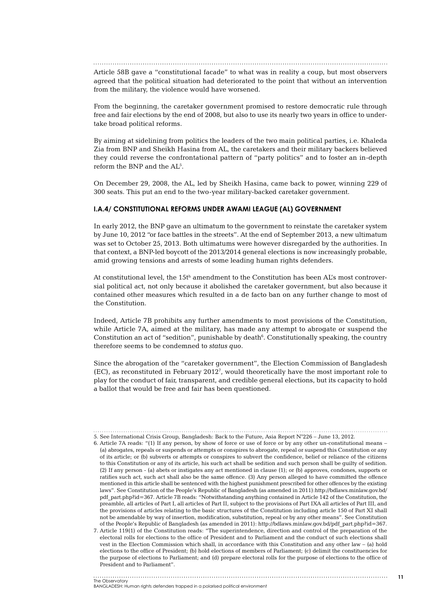Article 58B gave a "constitutional facade" to what was in reality a coup, but most observers agreed that the political situation had deteriorated to the point that without an intervention from the military, the violence would have worsened.

From the beginning, the caretaker government promised to restore democratic rule through free and fair elections by the end of 2008, but also to use its nearly two years in office to undertake broad political reforms.

By aiming at sidelining from politics the leaders of the two main political parties, i.e. Khaleda Zia from BNP and Sheikh Hasina from AL, the caretakers and their military backers believed they could reverse the confrontational pattern of "party politics" and to foster an in-depth reform the BNP and the AL<sup>5</sup>.

On December 29, 2008, the AL, led by Sheikh Hasina, came back to power, winning 229 of 300 seats. This put an end to the two-year military-backed caretaker government.

#### **I.A.4/ Constitutional reforms under Awami League (AL) Government**

In early 2012, the BNP gave an ultimatum to the government to reinstate the caretaker system by June 10, 2012 "or face battles in the streets". At the end of September 2013, a new ultimatum was set to October 25, 2013. Both ultimatums were however disregarded by the authorities. In that context, a BNP-led boycott of the 2013/2014 general elections is now increasingly probable, amid growing tensions and arrests of some leading human rights defenders.

At constitutional level, the 15th amendment to the Constitution has been AL's most controversial political act, not only because it abolished the caretaker government, but also because it contained other measures which resulted in a de facto ban on any further change to most of the Constitution.

Indeed, Article 7B prohibits any further amendments to most provisions of the Constitution, while Article 7A, aimed at the military, has made any attempt to abrogate or suspend the Constitution an act of "sedition", punishable by death $6$ . Constitutionally speaking, the country therefore seems to be condemned to *status quo*.

Since the abrogation of the "caretaker government", the Election Commission of Bangladesh (EC), as reconstituted in February 20127 , would theoretically have the most important role to play for the conduct of fair, transparent, and credible general elections, but its capacity to hold a ballot that would be free and fair has been questioned.

<sup>5.</sup> See International Crisis Group, Bangladesh: Back to the Future, Asia Report N°226 – June 13, 2012.

<sup>6.</sup> Article 7A reads: "(1) If any person, by show of force or use of force or by any other un-constitutional means – (a) abrogates, repeals or suspends or attempts or conspires to abrogate, repeal or suspend this Constitution or any of its article; or (b) subverts or attempts or conspires to subvert the confidence, belief or reliance of the citizens to this Constitution or any of its article, his such act shall be sedition and such person shall be guilty of sedition. (2) If any person - (a) abets or instigates any act mentioned in clause (1); or (b) approves, condones, supports or ratifies such act, such act shall also be the same offence. (3) Any person alleged to have committed the offence mentioned in this article shall be sentenced with the highest punishment prescribed for other offences by the existing laws". See Constitution of the People's Republic of Bangladesh (as amended in 2011):http://bdlaws.minlaw.gov.bd/ pdf part.php?id=367. Article 7B reads: "Notwithstanding anything contained in Article 142 of the Constitution, the preamble, all articles of Part I, all articles of Part II, subject to the provisions of Part IXA all articles of Part III, and the provisions of articles relating to the basic structures of the Constitution including article 150 of Part XI shall not be amendable by way of insertion, modification, substitution, repeal or by any other means". See Constitution of the People's Republic of Bangladesh (as amended in 2011): http://bdlaws.minlaw.gov.bd/pdf\_part.php?id=367.

<sup>7.</sup> Article 119(1) of the Constitution reads: "The superintendence, direction and control of the preparation of the electoral rolls for elections to the office of President and to Parliament and the conduct of such elections shall vest in the Election Commission which shall, in accordance with this Constitution and any other law – (a) hold elections to the office of President; (b) hold elections of members of Parliament; (c) delimit the constituencies for the purpose of elections to Parliament; and (d) prepare electoral rolls for the purpose of elections to the office of President and to Parliament".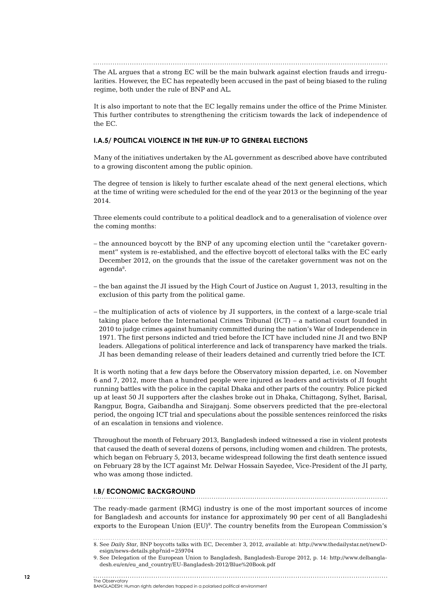The AL argues that a strong EC will be the main bulwark against election frauds and irregularities. However, the EC has repeatedly been accused in the past of being biased to the ruling regime, both under the rule of BNP and AL.

It is also important to note that the EC legally remains under the office of the Prime Minister. This further contributes to strengthening the criticism towards the lack of independence of the EC.

#### **I.A.5/ Political violence in the run-up to general elections**

Many of the initiatives undertaken by the AL government as described above have contributed to a growing discontent among the public opinion.

The degree of tension is likely to further escalate ahead of the next general elections, which at the time of writing were scheduled for the end of the year 2013 or the beginning of the year 2014.

Three elements could contribute to a political deadlock and to a generalisation of violence over the coming months:

- the announced boycott by the BNP of any upcoming election until the "caretaker government" system is re-established, and the effective boycott of electoral talks with the EC early December 2012, on the grounds that the issue of the caretaker government was not on the agenda<sup>8</sup>.
- the ban against the JI issued by the High Court of Justice on August 1, 2013, resulting in the exclusion of this party from the political game.
- the multiplication of acts of violence by JI supporters, in the context of a large-scale trial taking place before the International Crimes Tribunal (ICT) – a national court founded in 2010 to judge crimes against humanity committed during the nation's War of Independence in 1971. The first persons indicted and tried before the ICT have included nine JI and two BNP leaders. Allegations of political interference and lack of transparency have marked the trials. JI has been demanding release of their leaders detained and currently tried before the ICT.

It is worth noting that a few days before the Observatory mission departed, i.e. on November 6 and 7, 2012, more than a hundred people were injured as leaders and activists of JI fought running battles with the police in the capital Dhaka and other parts of the country. Police picked up at least 50 JI supporters after the clashes broke out in Dhaka, Chittagong, Sylhet, Barisal, Rangpur, Bogra, Gaibandha and Sirajganj. Some observers predicted that the pre-electoral period, the ongoing ICT trial and speculations about the possible sentences reinforced the risks of an escalation in tensions and violence.

Throughout the month of February 2013, Bangladesh indeed witnessed a rise in violent protests that caused the death of several dozens of persons, including women and children. The protests, which began on February 5, 2013, became widespread following the first death sentence issued on February 28 by the ICT against Mr. Delwar Hossain Sayedee, Vice-President of the JI party, who was among those indicted.

#### **I.B/ Economic background**

The ready-made garment (RMG) industry is one of the most important sources of income for Bangladesh and accounts for instance for approximately 90 per cent of all Bangladeshi exports to the European Union  $(EU)^9$ . The country benefits from the European Commission's

<sup>8</sup>. See *Daily Star*, BNP boycotts talks with EC, December 3, 2012, available at: http://www.thedailystar.net/newD-

esign/news-details.php?nid=259704

<sup>9</sup>. See Delegation of the European Union to Bangladesh, Bangladesh-Europe 2012, p. 14: http://www.delbangladesh.eu/en/eu\_and\_country/EU-Bangladesh-2012/Blue%20Book.pdf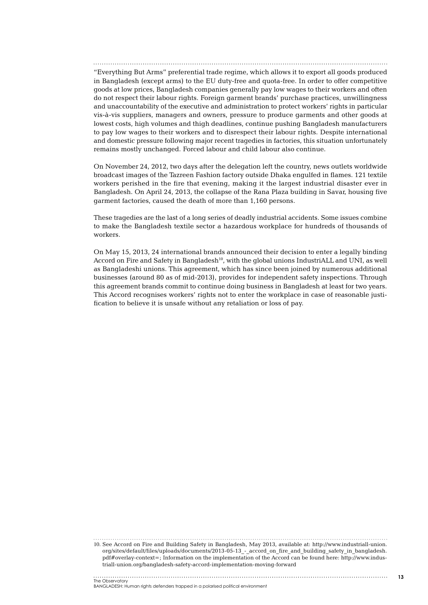"Everything But Arms" preferential trade regime, which allows it to export all goods produced in Bangladesh (except arms) to the EU duty-free and quota-free. In order to offer competitive goods at low prices, Bangladesh companies generally pay low wages to their workers and often do not respect their labour rights. Foreign garment brands' purchase practices, unwillingness and unaccountability of the executive and administration to protect workers' rights in particular vis-à-vis suppliers, managers and owners, pressure to produce garments and other goods at lowest costs, high volumes and thigh deadlines, continue pushing Bangladesh manufacturers to pay low wages to their workers and to disrespect their labour rights. Despite international and domestic pressure following major recent tragedies in factories, this situation unfortunately remains mostly unchanged. Forced labour and child labour also continue.

On November 24, 2012, two days after the delegation left the country, news outlets worldwide broadcast images of the Tazreen Fashion factory outside Dhaka engulfed in flames. 121 textile workers perished in the fire that evening, making it the largest industrial disaster ever in Bangladesh. On April 24, 2013, the collapse of the Rana Plaza building in Savar, housing five garment factories, caused the death of more than 1,160 persons.

These tragedies are the last of a long series of deadly industrial accidents. Some issues combine to make the Bangladesh textile sector a hazardous workplace for hundreds of thousands of workers.

On May 15, 2013, 24 international brands announced their decision to enter a legally binding Accord on Fire and Safety in Bangladesh<sup>10</sup>, with the global unions IndustriALL and UNI, as well as Bangladeshi unions. This agreement, which has since been joined by numerous additional businesses (around 80 as of mid-2013), provides for independent safety inspections. Through this agreement brands commit to continue doing business in Bangladesh at least for two years. This Accord recognises workers' rights not to enter the workplace in case of reasonable justification to believe it is unsafe without any retaliation or loss of pay.

10. See Accord on Fire and Building Safety in Bangladesh, May 2013, available at: http://www.industriall-union. org/sites/default/files/uploads/documents/2013-05-13 - accord on fire and building safety in bangladesh. pdf#overlay-context=; Information on the implementation of the Accord can be found here: http://www.industriall-union.org/bangladesh-safety-accord-implementation-moving-forward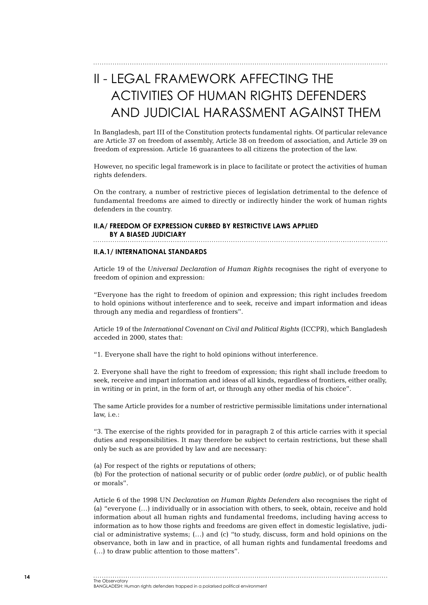# II - LEGAL FRAMEWORK AFFECTING THE ACTIVITIES OF HUMAN RIGHTS DEFENDERS AND JUDICIAL HARASSMENT AGAINST THEM

In Bangladesh, part III of the Constitution protects fundamental rights. Of particular relevance are Article 37 on freedom of assembly, Article 38 on freedom of association, and Article 39 on freedom of expression. Article 16 quarantees to all citizens the protection of the law.

However, no specific legal framework is in place to facilitate or protect the activities of human rights defenders.

On the contrary, a number of restrictive pieces of legislation detrimental to the defence of fundamental freedoms are aimed to directly or indirectly hinder the work of human rights defenders in the country.

#### **II.A/ Freedom of expression curbed by restrictive laws applied by a biased judiciary**

#### **II.A.1/ International standards**

Article 19 of the *Universal Declaration of Human Rights* recognises the right of everyone to freedom of opinion and expression:

"Everyone has the right to freedom of opinion and expression; this right includes freedom to hold opinions without interference and to seek, receive and impart information and ideas through any media and regardless of frontiers".

Article 19 of the *International Covenant on Civil and Political Rights* (ICCPR), which Bangladesh acceded in 2000, states that:

"1. Everyone shall have the right to hold opinions without interference.

2. Everyone shall have the right to freedom of expression; this right shall include freedom to seek, receive and impart information and ideas of all kinds, regardless of frontiers, either orally, in writing or in print, in the form of art, or through any other media of his choice".

The same Article provides for a number of restrictive permissible limitations under international law, i.e.:

"3. The exercise of the rights provided for in paragraph 2 of this article carries with it special duties and responsibilities. It may therefore be subject to certain restrictions, but these shall only be such as are provided by law and are necessary:

(a) For respect of the rights or reputations of others;

(b) For the protection of national security or of public order (*ordre public*), or of public health or morals".

Article 6 of the 1998 UN *Declaration on Human Rights Defenders* also recognises the right of (a) "everyone (…) individually or in association with others, to seek, obtain, receive and hold information about all human rights and fundamental freedoms, including having access to information as to how those rights and freedoms are given effect in domestic legislative, judicial or administrative systems; (…) and (c) "to study, discuss, form and hold opinions on the observance, both in law and in practice, of all human rights and fundamental freedoms and (…) to draw public attention to those matters".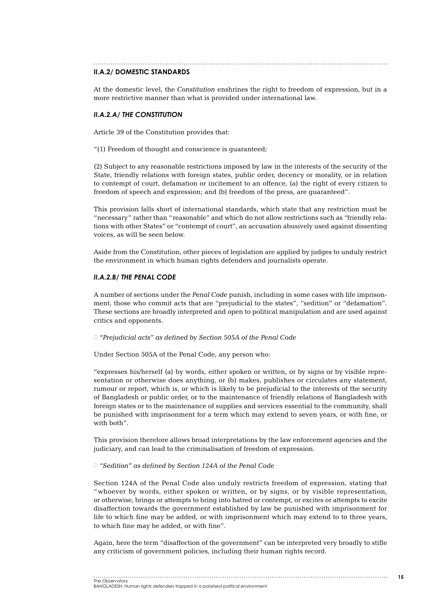#### **II.A.2/ Domestic standards**

At the domestic level, the *Constitution* enshrines the right to freedom of expression, but in a more restrictive manner than what is provided under international law.

#### *II.A.2.a/ The Constitution*

Article 39 of the Constitution provides that:

"(1) Freedom of thought and conscience is guaranteed;

(2) Subject to any reasonable restrictions imposed by law in the interests of the security of the State, friendly relations with foreign states, public order, decency or morality, or in relation to contempt of court, defamation or incitement to an offence, (a) the right of every citizen to freedom of speech and expression; and (b) freedom of the press, are guaranteed".

This provision falls short of international standards, which state that any restriction must be "necessary" rather than "reasonable" and which do not allow restrictions such as "friendly relations with other States" or "contempt of court", an accusation abusively used against dissenting voices, as will be seen below.

Aside from the Constitution, other pieces of legislation are applied by judges to unduly restrict the environment in which human rights defenders and journalists operate.

#### *II.A.2.b/ The Penal Code*

A number of sections under the *Penal Code* punish, including in some cases with life imprisonment, those who commit acts that are "prejudicial to the states", "sedition" or "defamation". These sections are broadly interpreted and open to political manipulation and are used against critics and opponents.

*► "Prejudicial acts" as defined by Section 505A of the Penal Code*

Under Section 505A of the Penal Code, any person who:

"expresses his/herself (a) by words, either spoken or written, or by signs or by visible representation or otherwise does anything, or (b) makes, publishes or circulates any statement, rumour or report, which is, or which is likely to be prejudicial to the interests of the security of Bangladesh or public order, or to the maintenance of friendly relations of Bangladesh with foreign states or to the maintenance of supplies and services essential to the community, shall be punished with imprisonment for a term which may extend to seven years, or with fine, or with both".

This provision therefore allows broad interpretations by the law enforcement agencies and the judiciary, and can lead to the criminalisation of freedom of expression.

*► "Sedition" as defined by Section 124A of the Penal Code*

Section 124A of the Penal Code also unduly restricts freedom of expression, stating that "whoever by words, either spoken or written, or by signs, or by visible representation, or otherwise, brings or attempts to bring into hatred or contempt, or excites or attempts to excite disaffection towards the government established by law be punished with imprisonment for life to which fine may be added, or with imprisonment which may extend to to three years, to which fine may be added, or with fine".

Again, here the term "disaffection of the government" can be interpreted very broadly to stifle any criticism of government policies, including their human rights record.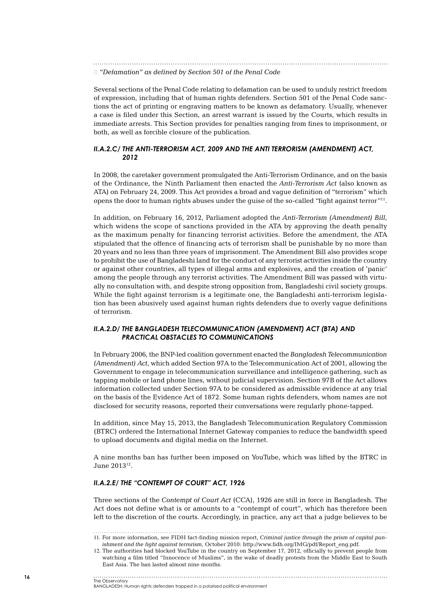*► "Defamation" as defined by Section 501 of the Penal Code*

Several sections of the Penal Code relating to defamation can be used to unduly restrict freedom of expression, including that of human rights defenders. Section 501 of the Penal Code sanctions the act of printing or engraving matters to be known as defamatory. Usually, whenever a case is filed under this Section, an arrest warrant is issued by the Courts, which results in immediate arrests. This Section provides for penalties ranging from fines to imprisonment, or both, as well as forcible closure of the publication.

#### *II.A.2.c/ The Anti-Terrorism Act, 2009 and the Anti Terrorism (Amendment) Act, 2012*

In 2008, the caretaker government promulgated the Anti-Terrorism Ordinance, and on the basis of the Ordinance, the Ninth Parliament then enacted the *Anti-Terrorism Act* (also known as ATA) on February 24, 2009. This Act provides a broad and vague definition of "terrorism" which opens the door to human rights abuses under the guise of the so-called "fight against terror"11.

In addition, on February 16, 2012, Parliament adopted the *Anti-Terrorism (Amendment) Bill*, which widens the scope of sanctions provided in the ATA by approving the death penalty as the maximum penalty for financing terrorist activities. Before the amendment, the ATA stipulated that the offence of financing acts of terrorism shall be punishable by no more than 20 years and no less than three years of imprisonment. The Amendment Bill also provides scope to prohibit the use of Bangladeshi land for the conduct of any terrorist activities inside the country or against other countries, all types of illegal arms and explosives, and the creation of 'panic' among the people through any terrorist activities. The Amendment Bill was passed with virtually no consultation with, and despite strong opposition from, Bangladeshi civil society groups. While the fight against terrorism is a legitimate one, the Bangladeshi anti-terrorism legislation has been abusively used against human rights defenders due to overly vague definitions of terrorism.

#### *II.A.2.d/ The Bangladesh Telecommunication (Amendment) Act (BTA) and practical obstacles to communications*

In February 2006, the BNP-led coalition government enacted the *Bangladesh Telecommunication (Amendment) Act*, which added Section 97A to the Telecommunication Act of 2001, allowing the Government to engage in telecommunication surveillance and intelligence gathering, such as tapping mobile or land phone lines, without judicial supervision. Section 97B of the Act allows information collected under Section 97A to be considered as admissible evidence at any trial on the basis of the Evidence Act of 1872. Some human rights defenders, whom names are not disclosed for security reasons, reported their conversations were regularly phone-tapped.

In addition, since May 15, 2013, the Bangladesh Telecommunication Regulatory Commission (BTRC) ordered the International Internet Gateway companies to reduce the bandwidth speed to upload documents and digital media on the Internet.

A nine months ban has further been imposed on YouTube, which was lifted by the BTRC in June 201312.

#### *II.A.2.e/ The "Contempt of Court" Act, 1926*

Three sections of the *Contempt of Court Act* (CCA), 1926 are still in force in Bangladesh. The Act does not define what is or amounts to a "contempt of court", which has therefore been left to the discretion of the courts. Accordingly, in practice, any act that a judge believes to be

<sup>11</sup>. For more information, see FIDH fact-finding mission report, *Criminal justice through the prism of capital punishment and the fight against terrorism*, October 2010: http://www.fidh.org/IMG/pdf/Report\_eng.pdf.

<sup>12</sup>. The authorities had blocked YouTube in the country on September 17, 2012, officially to prevent people from watching a film titled "Innocence of Muslims", in the wake of deadly protests from the Middle East to South East Asia. The ban lasted almost nine months.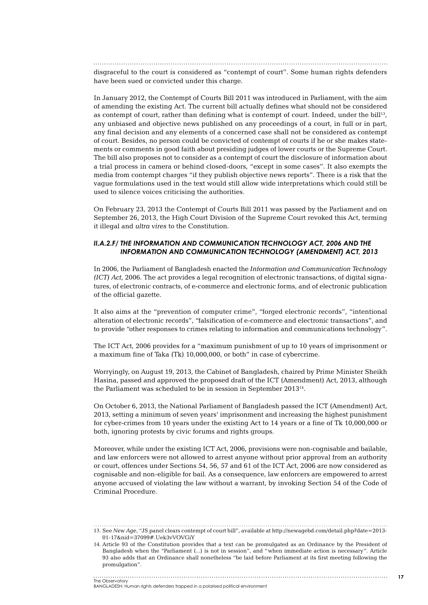disgraceful to the court is considered as "contempt of court". Some human rights defenders have been sued or convicted under this charge.

In January 2012, the Contempt of Courts Bill 2011 was introduced in Parliament, with the aim of amending the existing Act. The current bill actually defines what should not be considered as contempt of court, rather than defining what is contempt of court. Indeed, under the bill<sup>13</sup>, any unbiased and objective news published on any proceedings of a court, in full or in part, any final decision and any elements of a concerned case shall not be considered as contempt of court. Besides, no person could be convicted of contempt of courts if he or she makes statements or comments in good faith about presiding judges of lower courts or the Supreme Court. The bill also proposes not to consider as a contempt of court the disclosure of information about a trial process in camera or behind closed-doors, "except in some cases". It also exempts the media from contempt charges "if they publish objective news reports". There is a risk that the vague formulations used in the text would still allow wide interpretations which could still be used to silence voices criticising the authorities.

On February 23, 2013 the Contempt of Courts Bill 2011 was passed by the Parliament and on September 26, 2013, the High Court Division of the Supreme Court revoked this Act, terming it illegal and *ultra vires* to the Constitution.

#### **II.A.2.F/ THE INFORMATION AND COMMUNICATION TECHNOLOGY ACT, 2006 AND THE** *Information and Communication Technology (Amendment) Act, 2013*

In 2006, the Parliament of Bangladesh enacted the *Information and Communication Technology (ICT) Act*, 2006. The act provides a legal recognition of electronic transactions, of digital signatures, of electronic contracts, of e-commerce and electronic forms, and of electronic publication of the official gazette.

It also aims at the "prevention of computer crime", "forged electronic records", "intentional alteration of electronic records", "falsification of e-commerce and electronic transactions", and to provide "other responses to crimes relating to information and communications technology".

The ICT Act, 2006 provides for a "maximum punishment of up to 10 years of imprisonment or a maximum fine of Taka (Tk) 10,000,000, or both" in case of cybercrime.

Worryingly, on August 19, 2013, the Cabinet of Bangladesh, chaired by Prime Minister Sheikh Hasina, passed and approved the proposed draft of the ICT (Amendment) Act, 2013, although the Parliament was scheduled to be in session in September 201314.

On October 6, 2013, the National Parliament of Bangladesh passed the ICT (Amendment) Act, 2013, setting a minimum of seven years' imprisonment and increasing the highest punishment for cyber-crimes from 10 years under the existing Act to 14 years or a fine of Tk 10,000,000 or both, ignoring protests by civic forums and rights groups.

Moreover, while under the existing ICT Act, 2006, provisions were non-cognisable and bailable, and law enforcers were not allowed to arrest anyone without prior approval from an authority or court, offences under Sections 54, 56, 57 and 61 of the ICT Act, 2006 are now considered as cognisable and non-eligible for bail. As a consequence, law enforcers are empowered to arrest anyone accused of violating the law without a warrant, by invoking Section 54 of the Code of Criminal Procedure.

. . . . . . . . . . . . . . .

<sup>13</sup>. See *New Age*, "JS panel clears contempt of court bill", available at http://newagebd.com/detail.php?date=2013- 01-17&nid=37099#.Uek3vVOVGiY

<sup>14</sup>. Article 93 of the Constitution provides that a text can be promulgated as an Ordinance by the President of Bangladesh when the "Parliament (...) is not in session", and "when immediate action is necessary". Article 93 also adds that an Ordinance shall nonetheless "be laid before Parliament at its first meeting following the promulgation".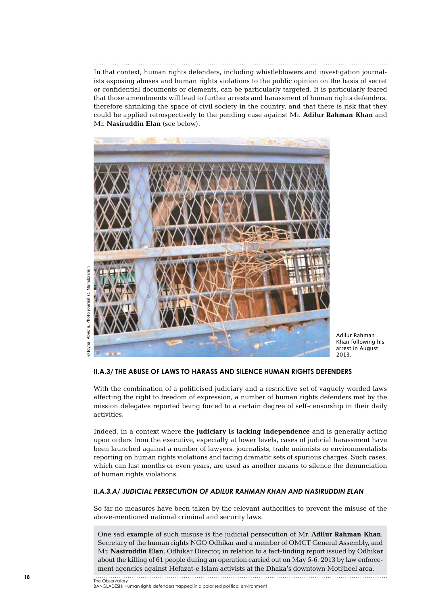In that context, human rights defenders, including whistleblowers and investigation journalists exposing abuses and human rights violations to the public opinion on the basis of secret or confidential documents or elements, can be particularly targeted. It is particularly feared that those amendments will lead to further arrests and harassment of human rights defenders, therefore shrinking the space of civil society in the country, and that there is risk that they could be applied retrospectively to the pending case against Mr. **Adilur Rahman Khan** and Mr. **Nasiruddin Elan** (see below).



© Joynal Abedin, Photo journalist, ManabzaminManabzamin ournalist Abedin, Photo Joynal

Adilur Rahman Khan following his arrest in August 2013.

### **II.A.3/ The abuse of laws to harass and silence human rights defenders**

With the combination of a politicised judiciary and a restrictive set of vaguely worded laws affecting the right to freedom of expression, a number of human rights defenders met by the mission delegates reported being forced to a certain degree of self-censorship in their daily activities.

Indeed, in a context where **the judiciary is lacking independence** and is generally acting upon orders from the executive, especially at lower levels, cases of judicial harassment have been launched against a number of lawyers, journalists, trade unionists or environmentalists reporting on human rights violations and facing dramatic sets of spurious charges. Such cases, which can last months or even years, are used as another means to silence the denunciation of human rights violations.

#### *II.A.3.a/ Judicial persecution of Adilur Rahman Khan and Nasiruddin Elan*

So far no measures have been taken by the relevant authorities to prevent the misuse of the above-mentioned national criminal and security laws.

One sad example of such misuse is the judicial persecution of Mr. **Adilur Rahman Khan**, Secretary of the human rights NGO Odhikar and a member of OMCT General Assembly, and Mr. **Nasiruddin Elan**, Odhikar Director, in relation to a fact-finding report issued by Odhikar about the killing of 61 people during an operation carried out on May 5-6, 2013 by law enforcement agencies against Hefazat-e Islam activists at the Dhaka's downtown Motijheel area.

The Observatory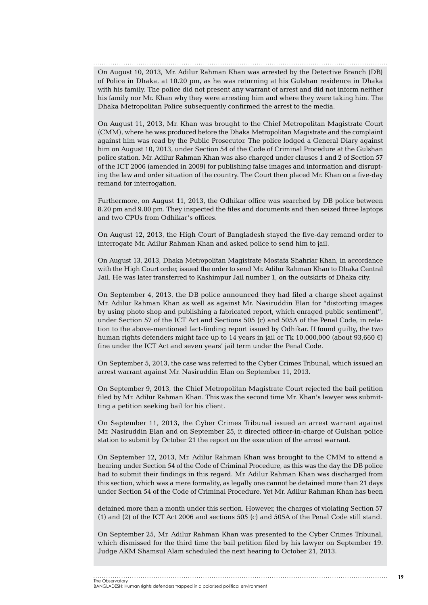On August 10, 2013, Mr. Adilur Rahman Khan was arrested by the Detective Branch (DB) of Police in Dhaka, at 10.20 pm, as he was returning at his Gulshan residence in Dhaka with his family. The police did not present any warrant of arrest and did not inform neither his family nor Mr. Khan why they were arresting him and where they were taking him. The Dhaka Metropolitan Police subsequently confirmed the arrest to the media.

On August 11, 2013, Mr. Khan was brought to the Chief Metropolitan Magistrate Court (CMM), where he was produced before the Dhaka Metropolitan Magistrate and the complaint against him was read by the Public Prosecutor. The police lodged a General Diary against him on August 10, 2013, under Section 54 of the Code of Criminal Procedure at the Gulshan police station. Mr. Adilur Rahman Khan was also charged under clauses 1 and 2 of Section 57 of the ICT 2006 (amended in 2009) for publishing false images and information and disrupting the law and order situation of the country. The Court then placed Mr. Khan on a five-day remand for interrogation.

Furthermore, on August 11, 2013, the Odhikar office was searched by DB police between 8.20 pm and 9.00 pm. They inspected the files and documents and then seized three laptops and two CPUs from Odhikar's offices.

On August 12, 2013, the High Court of Bangladesh stayed the five-day remand order to interrogate Mr. Adilur Rahman Khan and asked police to send him to jail.

On August 13, 2013, Dhaka Metropolitan Magistrate Mostafa Shahriar Khan, in accordance with the High Court order, issued the order to send Mr. Adilur Rahman Khan to Dhaka Central Jail. He was later transferred to Kashimpur Jail number 1, on the outskirts of Dhaka city.

On September 4, 2013, the DB police announced they had filed a charge sheet against Mr. Adilur Rahman Khan as well as against Mr. Nasiruddin Elan for "distorting images by using photo shop and publishing a fabricated report, which enraged public sentiment", under Section 57 of the ICT Act and Sections 505 (c) and 505A of the Penal Code, in relation to the above-mentioned fact-finding report issued by Odhikar. If found guilty, the two human rights defenders might face up to 14 years in jail or Tk 10,000,000 (about 93,660  $\epsilon$ ) fine under the ICT Act and seven years' jail term under the Penal Code.

On September 5, 2013, the case was referred to the Cyber Crimes Tribunal, which issued an arrest warrant against Mr. Nasiruddin Elan on September 11, 2013.

On September 9, 2013, the Chief Metropolitan Magistrate Court rejected the bail petition filed by Mr. Adilur Rahman Khan. This was the second time Mr. Khan's lawyer was submitting a petition seeking bail for his client.

On September 11, 2013, the Cyber Crimes Tribunal issued an arrest warrant against Mr. Nasiruddin Elan and on September 25, it directed officer-in-charge of Gulshan police station to submit by October 21 the report on the execution of the arrest warrant.

On September 12, 2013, Mr. Adilur Rahman Khan was brought to the CMM to attend a hearing under Section 54 of the Code of Criminal Procedure, as this was the day the DB police had to submit their findings in this regard. Mr. Adilur Rahman Khan was discharged from this section, which was a mere formality, as legally one cannot be detained more than 21 days under Section 54 of the Code of Criminal Procedure. Yet Mr. Adilur Rahman Khan has been

detained more than a month under this section. However, the charges of violating Section 57 (1) and (2) of the ICT Act 2006 and sections 505 (c) and 505A of the Penal Code still stand.

On September 25, Mr. Adilur Rahman Khan was presented to the Cyber Crimes Tribunal, which dismissed for the third time the bail petition filed by his lawyer on September 19. Judge AKM Shamsul Alam scheduled the next hearing to October 21, 2013.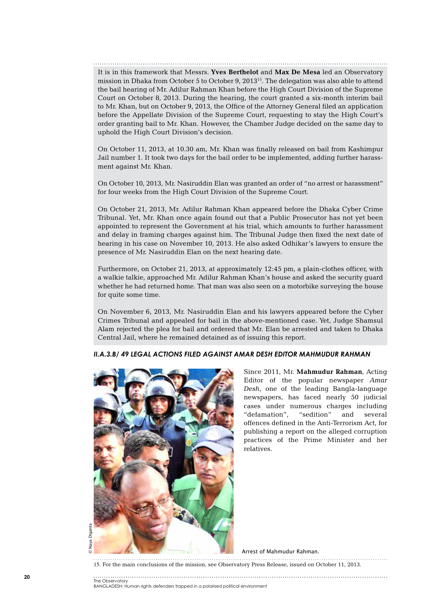It is in this framework that Messrs. **Yves Berthelot** and **Max De Mesa** led an Observatory mission in Dhaka from October 5 to October 9, 2013<sup>15</sup>. The delegation was also able to attend the bail hearing of Mr. Adilur Rahman Khan before the High Court Division of the Supreme Court on October 8, 2013. During the hearing, the court granted a six-month interim bail to Mr. Khan, but on October 9, 2013, the Office of the Attorney General filed an application before the Appellate Division of the Supreme Court, requesting to stay the High Court's order granting bail to Mr. Khan. However, the Chamber Judge decided on the same day to uphold the High Court Division's decision.

On October 11, 2013, at 10.30 am, Mr. Khan was finally released on bail from Kashimpur Jail number 1. It took two days for the bail order to be implemented, adding further harassment against Mr. Khan.

On October 10, 2013, Mr. Nasiruddin Elan was granted an order of "no arrest or harassment" for four weeks from the High Court Division of the Supreme Court.

On October 21, 2013, Mr. Adilur Rahman Khan appeared before the Dhaka Cyber Crime Tribunal. Yet, Mr. Khan once again found out that a Public Prosecutor has not yet been appointed to represent the Government at his trial, which amounts to further harassment and delay in framing charges against him. The Tribunal Judge then fixed the next date of hearing in his case on November 10, 2013. He also asked Odhikar's lawyers to ensure the presence of Mr. Nasiruddin Elan on the next hearing date.

Furthermore, on October 21, 2013, at approximately 12:45 pm, a plain-clothes officer, with a walkie talkie, approached Mr. Adilur Rahman Khan's house and asked the security guard whether he had returned home. That man was also seen on a motorbike surveying the house for quite some time.

On November 6, 2013, Mr. Nasiruddin Elan and his lawyers appeared before the Cyber Crimes Tribunal and appealed for bail in the above-mentioned case. Yet, Judge Shamsul Alam rejected the plea for bail and ordered that Mr. Elan be arrested and taken to Dhaka Central Jail, where he remained detained as of issuing this report.

#### *II.A.3.b/ 49 legal actions filed against Amar Desh Editor Mahmudur Rahman*



Since 2011, Mr. **Mahmudur Rahman**, Acting Editor of the popular newspaper *Amar Desh*, one of the leading Bangla-language newspapers, has faced nearly 50 judicial cases under numerous charges including "defamation", "sedition" and several offences defined in the Anti-Terrorism Act, for publishing a report on the alleged corruption practices of the Prime Minister and her relatives.

Arrest of Mahmudur Rahman.

15. For the main conclusions of the mission, see Observatory Press Release, issued on October 11, 2013.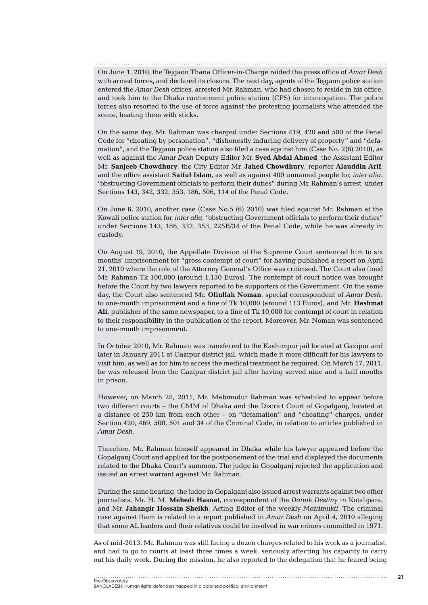On June 1, 2010, the Tejgaon Thana Officer-in-Charge raided the press office of *Amar Desh*  with armed forces, and declared its closure. The next day, agents of the Tejgaon police station entered the *Amar Desh* offices, arrested Mr. Rahman, who had chosen to reside in his office, and took him to the Dhaka cantonment police station (CPS) for interrogation. The police forces also resorted to the use of force against the protesting journalists who attended the scene, beating them with sticks.

On the same day, Mr. Rahman was charged under Sections 419, 420 and 500 of the Penal Code for "cheating by personation", "dishonestly inducing delivery of property" and "defamation", and the Tejgaon police station also filed a case against him (Case No. 2(6) 2010), as well as against the *Amar Desh* Deputy Editor Mr. **Syed Abdal Ahmed**, the Assistant Editor Mr. **Sanjeeb Chowdhury**, the City Editor Mr. **Jahed Chowdhury**, reporter **Alauddin Arif**, and the office assistant **Saiful Islam**, as well as against 400 unnamed people for, *inter alia*, "obstructing Government officials to perform their duties" during Mr. Rahman's arrest, under Sections 143, 342, 332, 353, 186, 506, 114 of the Penal Code.

On June 6, 2010, another case (Case No.5 (6) 2010) was filed against Mr. Rahman at the Kowali police station for, *inter alia*, "obstructing Government officials to perform their duties" under Sections 143, 186, 332, 353, 225B/34 of the Penal Code, while he was already in custody.

On August 19, 2010, the Appellate Division of the Supreme Court sentenced him to six months' imprisonment for "gross contempt of court" for having published a report on April 21, 2010 where the role of the Attorney General's Office was criticised. The Court also fined Mr. Rahman Tk 100,000 (around 1,130 Euros). The contempt of court notice was brought before the Court by two lawyers reported to be supporters of the Government. On the same day, the Court also sentenced Mr. **Oliullah Noman**, special correspondent of *Amar Desh*, to one-month imprisonment and a fine of Tk 10,000 (around 113 Euros), and Mr. **Hashmat Ali**, publisher of the same newspaper, to a fine of Tk 10,000 for contempt of court in relation to their responsibility in the publication of the report. Moreover, Mr. Noman was sentenced to one-month imprisonment.

In October 2010, Mr. Rahman was transferred to the Kashimpur jail located at Gazipur and later in January 2011 at Gazipur district jail, which made it more difficult for his lawyers to visit him, as well as for him to access the medical treatment he required. On March 17, 2011, he was released from the Gazipur district jail after having served nine and a half months in prison.

However, on March 28, 2011, Mr. Mahmudur Rahman was scheduled to appear before two different courts – the CMM of Dhaka and the District Court of Gopalganj, located at a distance of 250 km from each other – on "defamation" and "cheating" charges, under Section 420, 469, 500, 501 and 34 of the Criminal Code, in relation to articles published in *Amar Desh*.

Therefore, Mr. Rahman himself appeared in Dhaka while his lawyer appeared before the Gopalganj Court and applied for the postponement of the trial and displayed the documents related to the Dhaka Court's summon. The judge in Gopalganj rejected the application and issued an arrest warrant against Mr. Rahman.

During the same hearing, the judge in Gopalganj also issued arrest warrants against two other journalists, Mr. H. M. **Mehedi Hasnat**, correspondent of the *Dainik Destiny* in Kotalipara, and Mr. **Jahangir Hossain Sheikh**, Acting Editor of the weekly *Matrimukti*. The criminal case against them is related to a report published in *Amar Desh* on April 4, 2010 alleging that some AL leaders and their relatives could be involved in war crimes committed in 1971.

As of mid-2013, Mr. Rahman was still facing a dozen charges related to his work as a journalist, and had to go to courts at least three times a week, seriously affecting his capacity to carry out his daily work. During the mission, he also reported to the delegation that he feared being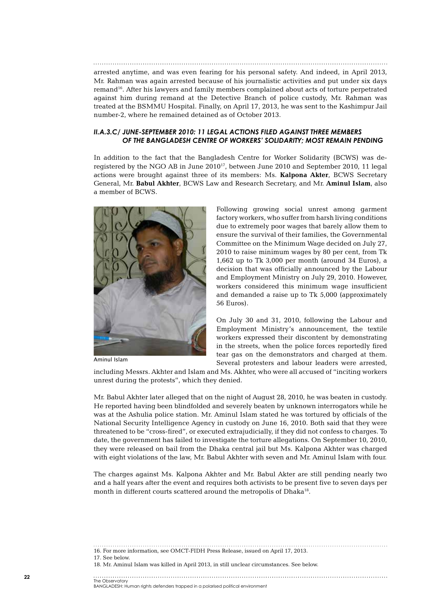arrested anytime, and was even fearing for his personal safety. And indeed, in April 2013, Mr. Rahman was again arrested because of his journalistic activities and put under six days remand16. After his lawyers and family members complained about acts of torture perpetrated against him during remand at the Detective Branch of police custody, Mr. Rahman was treated at the BSMMU Hospital. Finally, on April 17, 2013, he was sent to the Kashimpur Jail number-2, where he remained detained as of October 2013.

#### *II.A.3.c/ June-September 2010: 11 legal actions filed against three members of the Bangladesh Centre of Workers' Solidarity; most remain pending*

In addition to the fact that the Bangladesh Centre for Worker Solidarity (BCWS) was deregistered by the NGO AB in June  $2010^{17}$ , between June 2010 and September 2010, 11 legal actions were brought against three of its members: Ms. **Kalpona Akter**, BCWS Secretary General, Mr. **Babul Akhter**, BCWS Law and Research Secretary, and Mr. **Aminul Islam**, also a member of BCWS.



Aminul Islam

Following growing social unrest among garment factory workers, who suffer from harsh living conditions due to extremely poor wages that barely allow them to ensure the survival of their families, the Governmental Committee on the Minimum Wage decided on July 27, 2010 to raise minimum wages by 80 per cent, from Tk 1,662 up to Tk 3,000 per month (around 34 Euros), a decision that was officially announced by the Labour and Employment Ministry on July 29, 2010. However, workers considered this minimum wage insufficient and demanded a raise up to Tk 5,000 (approximately 56 Euros).

On July 30 and 31, 2010, following the Labour and Employment Ministry's announcement, the textile workers expressed their discontent by demonstrating in the streets, when the police forces reportedly fired tear gas on the demonstrators and charged at them. Several protesters and labour leaders were arrested,

including Messrs. Akhter and Islam and Ms. Akhter, who were all accused of "inciting workers unrest during the protests", which they denied.

Mr. Babul Akhter later alleged that on the night of August 28, 2010, he was beaten in custody. He reported having been blindfolded and severely beaten by unknown interrogators while he was at the Ashulia police station. Mr. Aminul Islam stated he was tortured by officials of the National Security Intelligence Agency in custody on June 16, 2010. Both said that they were threatened to be "cross-fired", or executed extrajudicially, if they did not confess to charges. To date, the government has failed to investigate the torture allegations. On September 10, 2010, they were released on bail from the Dhaka central jail but Ms. Kalpona Akhter was charged with eight violations of the law, Mr. Babul Akhter with seven and Mr. Aminul Islam with four.

The charges against Ms. Kalpona Akhter and Mr. Babul Akter are still pending nearly two and a half years after the event and requires both activists to be present five to seven days per month in different courts scattered around the metropolis of Dhaka<sup>18</sup>.

16. For more information, see OMCT-FIDH Press Release, issued on April 17, 2013.

<sup>17.</sup> See below.

<sup>18.</sup> Mr. Aminul Islam was killed in April 2013, in still unclear circumstances. See below.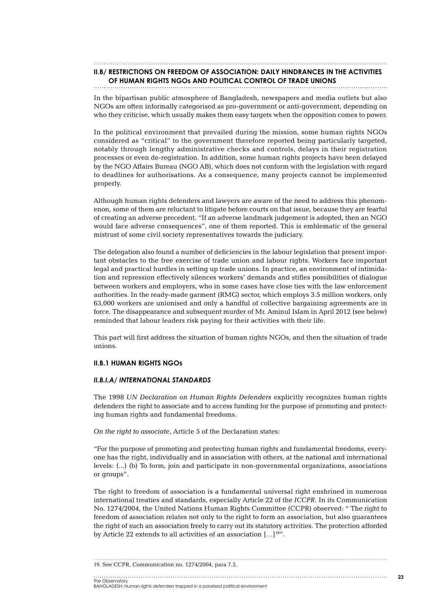## **II.B/ Restrictions on freedom of association: daily hindrances in the activities**

## **of human rights NGOs and political control of trade unions**

In the bipartisan public atmosphere of Bangladesh, newspapers and media outlets but also NGOs are often informally categorised as pro-government or anti-government, depending on who they criticise, which usually makes them easy targets when the opposition comes to power.

In the political environment that prevailed during the mission, some human rights NGOs considered as "critical" to the government therefore reported being particularly targeted, notably through lengthy administrative checks and controls, delays in their registration processes or even de-registration. In addition, some human rights projects have been delayed by the NGO Affairs Bureau (NGO AB), which does not conform with the legislation with regard to deadlines for authorisations. As a consequence, many projects cannot be implemented properly.

Although human rights defenders and lawyers are aware of the need to address this phenomenon, some of them are reluctant to litigate before courts on that issue, because they are fearful of creating an adverse precedent. "If an adverse landmark judgement is adopted, then an NGO would face adverse consequences", one of them reported. This is emblematic of the general mistrust of some civil society representatives towards the judiciary.

The delegation also found a number of deficiencies in the labour legislation that present important obstacles to the free exercise of trade union and labour rights. Workers face important legal and practical hurdles in setting up trade unions. In practice, an environment of intimidation and repression effectively silences workers' demands and stifles possibilities of dialogue between workers and employers, who in some cases have close ties with the law enforcement authorities. In the ready-made garment (RMG) sector, which employs 3.5 million workers, only 63,000 workers are unionised and only a handful of collective bargaining agreements are in force. The disappearance and subsequent murder of Mr. Aminul Islam in April 2012 (see below) reminded that labour leaders risk paying for their activities with their life.

This part will first address the situation of human rights NGOs, and then the situation of trade unions.

#### **II.B.1 Human rights NGOs**

#### *II.B.I.a/ International standards*

The 1998 *UN Declaration on Human Rights Defenders* explicitly recognizes human rights defenders the right to associate and to access funding for the purpose of promoting and protecting human rights and fundamental freedoms.

*On the right to associate*, Article 5 of the Declaration states:

"For the purpose of promoting and protecting human rights and fundamental freedoms, everyone has the right, individually and in association with others, at the national and international levels: (...) (b) To form, join and participate in non-governmental organizations, associations or groups".

The right to freedom of association is a fundamental universal right enshrined in numerous international treaties and standards, especially Article 22 of the *ICCPR*. In its Communication No. 1274/2004, the United Nations Human Rights Committee (CCPR) observed: " The right to freedom of association relates not only to the right to form an association, but also guarantees the right of such an association freely to carry out its statutory activities. The protection afforded by Article 22 extends to all activities of an association  $[\dots]^{19}$ ".

19. See CCPR, Communication no. 1274/2004, para 7.2.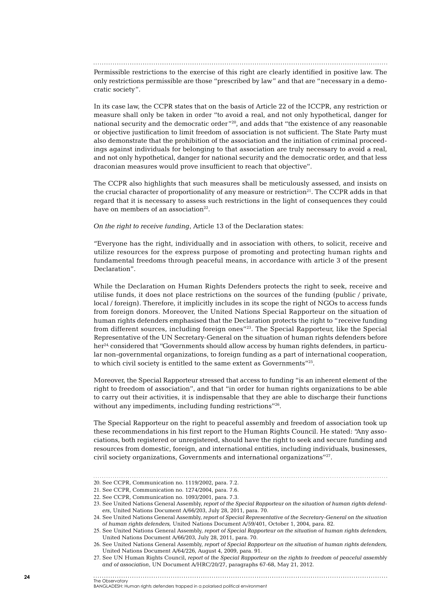Permissible restrictions to the exercise of this right are clearly identified in positive law. The only restrictions permissible are those "prescribed by law" and that are "necessary in a democratic society".

In its case law, the CCPR states that on the basis of Article 22 of the ICCPR, any restriction or measure shall only be taken in order "to avoid a real, and not only hypothetical, danger for national security and the democratic order"20, and adds that "the existence of any reasonable or objective justification to limit freedom of association is not sufficient. The State Party must also demonstrate that the prohibition of the association and the initiation of criminal proceedings against individuals for belonging to that association are truly necessary to avoid a real, and not only hypothetical, danger for national security and the democratic order, and that less draconian measures would prove insufficient to reach that objective".

The CCPR also highlights that such measures shall be meticulously assessed, and insists on the crucial character of proportionality of any measure or restriction<sup>21</sup>. The CCPR adds in that regard that it is necessary to assess such restrictions in the light of consequences they could have on members of an association $22$ .

*On the right to receive funding*, Article 13 of the Declaration states:

*"*Everyone has the right, individually and in association with others, to solicit, receive and utilize resources for the express purpose of promoting and protecting human rights and fundamental freedoms through peaceful means, in accordance with article 3 of the present Declaration".

While the Declaration on Human Rights Defenders protects the right to seek, receive and utilise funds, it does not place restrictions on the sources of the funding (public / private, local / foreign). Therefore, it implicitly includes in its scope the right of NGOs to access funds from foreign donors. Moreover, the United Nations Special Rapporteur on the situation of human rights defenders emphasised that the Declaration protects the right to "receive funding from different sources, including foreign ones"23. The Special Rapporteur, like the Special Representative of the UN Secretary-General on the situation of human rights defenders before her<sup>24,</sup> considered that "Governments should allow access by human rights defenders, in particular non-governmental organizations, to foreign funding as a part of international cooperation, to which civil society is entitled to the same extent as Governments"25.

Moreover, the Special Rapporteur stressed that access to funding "is an inherent element of the right to freedom of association", and that "in order for human rights organizations to be able to carry out their activities, it is indispensable that they are able to discharge their functions without any impediments, including funding restrictions"26.

The Special Rapporteur on the right to peaceful assembly and freedom of association took up these recommendations in his first report to the Human Rights Council. He stated: "Any associations, both registered or unregistered, should have the right to seek and secure funding and resources from domestic, foreign, and international entities, including individuals, businesses, civil society organizations, Governments and international organizations"27.

<sup>20</sup>. See CCPR, Communication no. 1119/2002, para. 7.2.

<sup>21</sup>. See CCPR, Communication no. 1274/2004, para. 7.6.

<sup>22</sup>. See CCPR, Communication no. 1093/2001, para. 7.3.

<sup>23</sup>. See United Nations General Assembly, *report of the Special Rapporteur on the situation of human rights defenders*, United Nations Document A/66/203, July 28, 2011, para. 70.

<sup>24</sup>. See United Nations General Assembly, *report of Special Representative of the Secretary-General on the situation of human rights defenders,* United Nations Document A/59/401, October 1, 2004, para. 82.

<sup>25</sup>. See United Nations General Assembly, *report of Special Rapporteur on the situation of human rights defenders,* United Nations Document A/66/203, July 28, 2011, para. 70.

<sup>26</sup>. See United Nations General Assembly, *report of Special Rapporteur on the situation of human rights defenders,* United Nations Document A/64/226, August 4, 2009, para. 91.

<sup>27</sup>. See UN Human Rights Council, *report of the Special Rapporteur on the rights to freedom of peaceful assembly and of association*, UN Document A/HRC/20/27, paragraphs 67-68, May 21, 2012.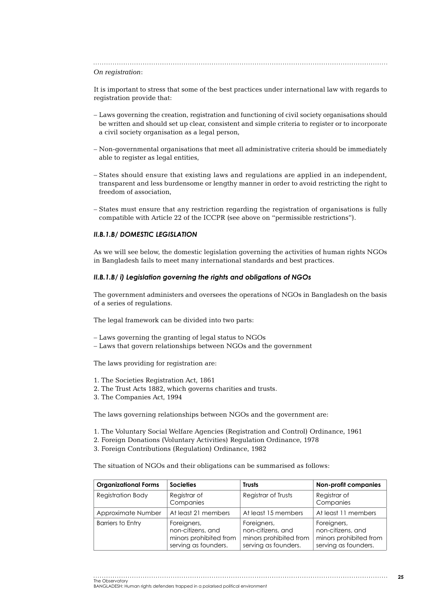#### *On registration*:

It is important to stress that some of the best practices under international law with regards to registration provide that:

- Laws governing the creation, registration and functioning of civil society organisations should be written and should set up clear, consistent and simple criteria to register or to incorporate a civil society organisation as a legal person,
- Non-governmental organisations that meet all administrative criteria should be immediately able to register as legal entities,
- States should ensure that existing laws and regulations are applied in an independent, transparent and less burdensome or lengthy manner in order to avoid restricting the right to freedom of association,
- States must ensure that any restriction regarding the registration of organisations is fully compatible with Article 22 of the ICCPR (see above on "permissible restrictions").

#### *II.B.1.b/ Domestic legislation*

As we will see below, the domestic legislation governing the activities of human rights NGOs in Bangladesh fails to meet many international standards and best practices.

#### *II.B.1.b/ i) Legislation governing the rights and obligations of NGOs*

The government administers and oversees the operations of NGOs in Bangladesh on the basis of a series of regulations.

The legal framework can be divided into two parts:

- Laws governing the granting of legal status to NGOs
- Laws that govern relationships between NGOs and the government

The laws providing for registration are:

- 1. The Societies Registration Act, 1861
- 2. The Trust Acts 1882, which governs charities and trusts.
- 3. The Companies Act, 1994

The laws governing relationships between NGOs and the government are:

- 1. The Voluntary Social Welfare Agencies (Registration and Control) Ordinance, 1961
- 2. Foreign Donations (Voluntary Activities) Regulation Ordinance, 1978
- 3. Foreign Contributions (Regulation) Ordinance, 1982

The situation of NGOs and their obligations can be summarised as follows:

| <b>Organizational Forms</b> | <b>Societies</b>                                                                   | <b>Trusts</b>                                                                      | <b>Non-profit companies</b>                                                        |
|-----------------------------|------------------------------------------------------------------------------------|------------------------------------------------------------------------------------|------------------------------------------------------------------------------------|
| <b>Registration Body</b>    | Registrar of<br>Companies                                                          | Registrar of Trusts                                                                | Registrar of<br>Companies                                                          |
| Approximate Number          | At least 21 members                                                                | At least 15 members                                                                | At least 11 members                                                                |
| <b>Barriers to Entry</b>    | Foreigners,<br>non-citizens, and<br>minors prohibited from<br>serving as founders. | Foreigners,<br>non-citizens, and<br>minors prohibited from<br>serving as founders. | Foreigners,<br>non-citizens, and<br>minors prohibited from<br>serving as founders. |

The Observatory BANGLADESH: Human rights defenders trapped in a polarised political environment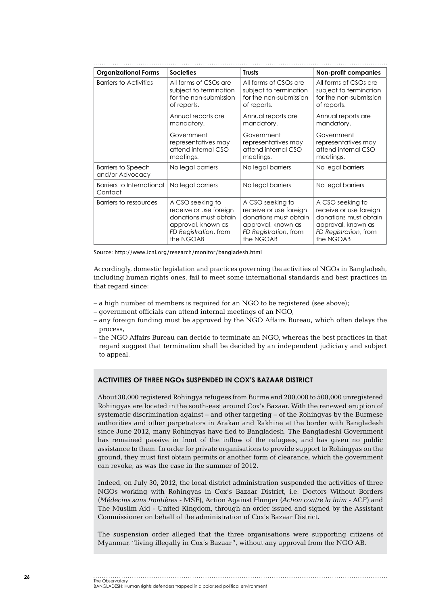| <b>Organizational Forms</b>                  | <b>Societies</b>       | <b>Trusts</b>          | <b>Non-profit companies</b> |
|----------------------------------------------|------------------------|------------------------|-----------------------------|
| <b>Barriers to Activities</b>                | All forms of CSOs are  | All forms of CSOs are  | All forms of CSOs are       |
|                                              | subject to termination | subject to termination | subject to termination      |
|                                              | for the non-submission | for the non-submission | for the non-submission      |
|                                              | of reports.            | of reports.            | of reports.                 |
|                                              | Annual reports are     | Annual reports are     | Annual reports are          |
|                                              | mandatory.             | mandatory.             | mandatory.                  |
|                                              | Government             | Government             | Government                  |
|                                              | representatives may    | representatives may    | representatives may         |
|                                              | attend internal CSO    | attend internal CSO    | attend internal CSO         |
|                                              | meetings.              | meetings.              | meetings.                   |
| <b>Barriers to Speech</b><br>and/or Advocacy | No legal barriers      | No legal barriers      | No legal barriers           |
| Barriers to International<br>Contact         | No legal barriers      | No legal barriers      | No legal barriers           |
| Barriers to ressources                       | A CSO seeking to       | A CSO seeking to       | A CSO seeking to            |
|                                              | receive or use foreign | receive or use foreign | receive or use foreign      |
|                                              | donations must obtain  | donations must obtain  | donations must obtain       |
|                                              | approval, known as     | approval, known as     | approval, known as          |
|                                              | FD Registration, from  | FD Registration, from  | FD Registration, from       |
|                                              | the NGOAB              | the NGOAB              | the NGOAB                   |

Source: http://www.icnl.org/research/monitor/bangladesh.html

Accordingly, domestic legislation and practices governing the activities of NGOs in Bangladesh, including human rights ones, fail to meet some international standards and best practices in that regard since:

- a high number of members is required for an NGO to be registered (see above);
- government officials can attend internal meetings of an NGO,
- any foreign funding must be approved by the NGO Affairs Bureau, which often delays the process,
- the NGO Affairs Bureau can decide to terminate an NGO, whereas the best practices in that regard suggest that termination shall be decided by an independent judiciary and subject to appeal.

#### **Activities of three NGOs suspended in Cox's Bazaar District**

About 30,000 registered Rohingya refugees from Burma and 200,000 to 500,000 unregistered Rohingyas are located in the south-east around Cox's Bazaar. With the renewed eruption of systematic discrimination against – and other targeting – of the Rohingyas by the Burmese authorities and other perpetrators in Arakan and Rakhine at the border with Bangladesh since June 2012, many Rohingyas have fled to Bangladesh. The Bangladeshi Government has remained passive in front of the inflow of the refugees, and has given no public assistance to them. In order for private organisations to provide support to Rohingyas on the ground, they must first obtain permits or another form of clearance, which the government can revoke, as was the case in the summer of 2012.

Indeed, on July 30, 2012, the local district administration suspended the activities of three NGOs working with Rohingyas in Cox's Bazaar District, i.e. Doctors Without Borders (*Médecins sans frontières* - MSF), Action Against Hunger (*Action contre la faim* - ACF) and The Muslim Aid - United Kingdom, through an order issued and signed by the Assistant Commissioner on behalf of the administration of Cox's Bazaar District.

The suspension order alleged that the three organisations were supporting citizens of Myanmar, "living illegally in Cox's Bazaar", without any approval from the NGO AB.

The Observatory BANGLADESH: Human rights defenders trapped in a polarised political environment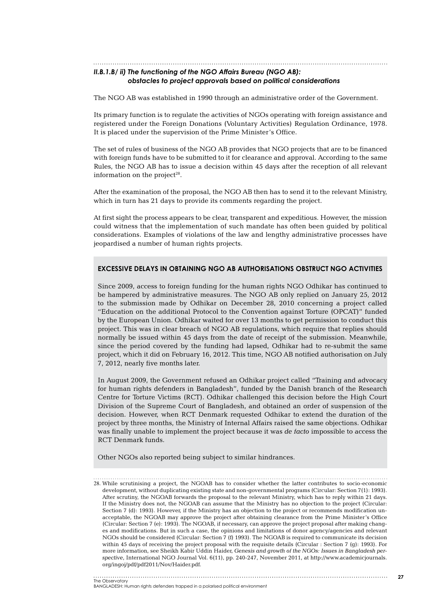## *II.B.1.b/ ii) The functioning of the NGO Affairs Bureau (NGO AB):*

### *obstacles to project approvals based on political considerations*

The NGO AB was established in 1990 through an administrative order of the Government.

Its primary function is to regulate the activities of NGOs operating with foreign assistance and registered under the Foreign Donations (Voluntary Activities) Regulation Ordinance, 1978. It is placed under the supervision of the Prime Minister's Office.

The set of rules of business of the NGO AB provides that NGO projects that are to be financed with foreign funds have to be submitted to it for clearance and approval. According to the same Rules, the NGO AB has to issue a decision within 45 days after the reception of all relevant information on the project $28$ .

After the examination of the proposal, the NGO AB then has to send it to the relevant Ministry, which in turn has 21 days to provide its comments regarding the project.

At first sight the process appears to be clear, transparent and expeditious. However, the mission could witness that the implementation of such mandate has often been guided by political considerations. Examples of violations of the law and lengthy administrative processes have jeopardised a number of human rights projects.

#### **Excessive delays in obtaining NGO AB authorisations obstruct NGO activities**

Since 2009, access to foreign funding for the human rights NGO Odhikar has continued to be hampered by administrative measures. The NGO AB only replied on January 25, 2012 to the submission made by Odhikar on December 28, 2010 concerning a project called "Education on the additional Protocol to the Convention against Torture (OPCAT)" funded by the European Union. Odhikar waited for over 13 months to get permission to conduct this project. This was in clear breach of NGO AB regulations, which require that replies should normally be issued within 45 days from the date of receipt of the submission. Meanwhile, since the period covered by the funding had lapsed, Odhikar had to re-submit the same project, which it did on February 16, 2012. This time, NGO AB notified authorisation on July 7, 2012, nearly five months later.

In August 2009, the Government refused an Odhikar project called "Training and advocacy for human rights defenders in Bangladesh", funded by the Danish branch of the Research Centre for Torture Victims (RCT). Odhikar challenged this decision before the High Court Division of the Supreme Court of Bangladesh, and obtained an order of suspension of the decision. However, when RCT Denmark requested Odhikar to extend the duration of the project by three months, the Ministry of Internal Affairs raised the same objections. Odhikar was finally unable to implement the project because it was *de facto* impossible to access the RCT Denmark funds.

Other NGOs also reported being subject to similar hindrances.

<sup>28</sup>. While scrutinising a project, the NGOAB has to consider whether the latter contributes to socio-economic development, without duplicating existing state and non-governmental programs (Circular: Section 7(1): 1993). After scrutiny, the NGOAB forwards the proposal to the relevant Ministry, which has to reply within 21 days. If the Ministry does not, the NGOAB can assume that the Ministry has no objection to the project (Circular: Section 7 (d): 1993). However, if the Ministry has an objection to the project or recommends modification unacceptable, the NGOAB may approve the project after obtaining clearance from the Prime Minister's Office (Circular: Section 7 (e): 1993). The NGOAB, if necessary, can approve the project proposal after making changes and modifications. But in such a case, the opinions and limitations of donor agency/agencies and relevant NGOs should be considered (Circular: Section 7 (f) 1993). The NGOAB is required to communicate its decision within 45 days of receiving the project proposal with the requisite details (Circular : Section 7 (g): 1993). For more information, see Sheikh Kabir Uddin Haider, *Genesis and growth of the NGOs: Issues in Bangladesh perspective*, International NGO Journal Vol. 6(11), pp. 240-247, November 2011, at http://www.academicjournals. org/ingoj/pdf/pdf2011/Nov/Haider.pdf.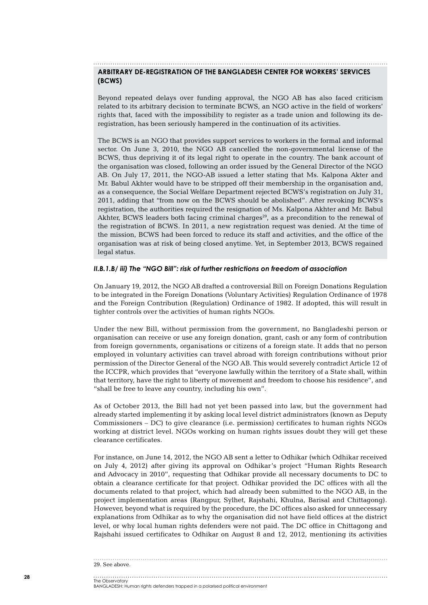#### **Arbitrary de-registration of the Bangladesh Center for Workers' Services (BCWS)**

Beyond repeated delays over funding approval, the NGO AB has also faced criticism related to its arbitrary decision to terminate BCWS, an NGO active in the field of workers' rights that, faced with the impossibility to register as a trade union and following its deregistration, has been seriously hampered in the continuation of its activities.

The BCWS is an NGO that provides support services to workers in the formal and informal sector. On June 3, 2010, the NGO AB cancelled the non-governmental license of the BCWS, thus depriving it of its legal right to operate in the country. The bank account of the organisation was closed, following an order issued by the General Director of the NGO AB. On July 17, 2011, the NGO-AB issued a letter stating that Ms. Kalpona Akter and Mr. Babul Akhter would have to be stripped off their membership in the organisation and, as a consequence, the Social Welfare Department rejected BCWS's registration on July 31, 2011, adding that "from now on the BCWS should be abolished". After revoking BCWS's registration, the authorities required the resignation of Ms. Kalpona Akhter and Mr. Babul Akhter, BCWS leaders both facing criminal charges<sup>29</sup>, as a precondition to the renewal of the registration of BCWS. In 2011, a new registration request was denied. At the time of the mission, BCWS had been forced to reduce its staff and activities, and the office of the organisation was at risk of being closed anytime. Yet, in September 2013, BCWS regained legal status.

#### *II.B.1.b/ iii) The "NGO Bill": risk of further restrictions on freedom of association*

On January 19, 2012, the NGO AB drafted a controversial Bill on Foreign Donations Regulation to be integrated in the Foreign Donations (Voluntary Activities) Regulation Ordinance of 1978 and the Foreign Contribution (Regulation) Ordinance of 1982. If adopted, this will result in tighter controls over the activities of human rights NGOs.

Under the new Bill, without permission from the government, no Bangladeshi person or organisation can receive or use any foreign donation, grant, cash or any form of contribution from foreign governments, organisations or citizens of a foreign state. It adds that no person employed in voluntary activities can travel abroad with foreign contributions without prior permission of the Director General of the NGO AB. This would severely contradict Article 12 of the ICCPR, which provides that "everyone lawfully within the territory of a State shall, within that territory, have the right to liberty of movement and freedom to choose his residence", and "shall be free to leave any country, including his own".

As of October 2013, the Bill had not yet been passed into law, but the government had already started implementing it by asking local level district administrators (known as Deputy Commissioners – DC) to give clearance (i.e. permission) certificates to human rights NGOs working at district level. NGOs working on human rights issues doubt they will get these clearance certificates.

For instance, on June 14, 2012, the NGO AB sent a letter to Odhikar (which Odhikar received on July 4, 2012) after giving its approval on Odhikar's project "Human Rights Research and Advocacy in 2010", requesting that Odhikar provide all necessary documents to DC to obtain a clearance certificate for that project. Odhikar provided the DC offices with all the documents related to that project, which had already been submitted to the NGO AB, in the project implementation areas (Rangpur, Sylhet, Rajshahi, Khulna, Barisal and Chittagong). However, beyond what is required by the procedure, the DC offices also asked for unnecessary explanations from Odhikar as to why the organisation did not have field offices at the district level, or why local human rights defenders were not paid. The DC office in Chittagong and Rajshahi issued certificates to Odhikar on August 8 and 12, 2012, mentioning its activities

#### 29. See above.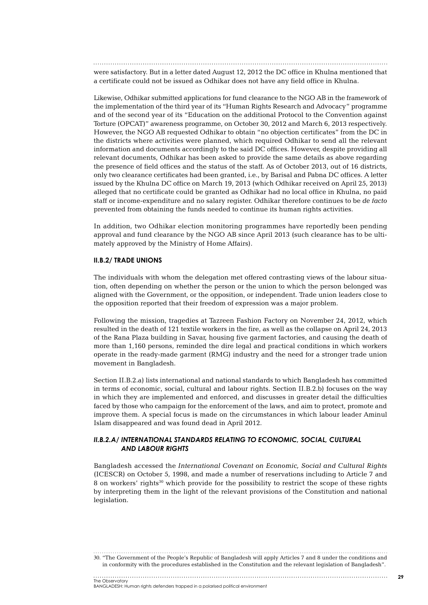were satisfactory. But in a letter dated August 12, 2012 the DC office in Khulna mentioned that a certificate could not be issued as Odhikar does not have any field office in Khulna.

Likewise, Odhikar submitted applications for fund clearance to the NGO AB in the framework of the implementation of the third year of its "Human Rights Research and Advocacy" programme and of the second year of its "Education on the additional Protocol to the Convention against Torture (OPCAT)" awareness programme, on October 30, 2012 and March 6, 2013 respectively. However, the NGO AB requested Odhikar to obtain "no objection certificates" from the DC in the districts where activities were planned, which required Odhikar to send all the relevant information and documents accordingly to the said DC offices. However, despite providing all relevant documents, Odhikar has been asked to provide the same details as above regarding the presence of field offices and the status of the staff. As of October 2013, out of 16 districts, only two clearance certificates had been granted, i.e., by Barisal and Pabna DC offices. A letter issued by the Khulna DC office on March 19, 2013 (which Odhikar received on April 25, 2013) alleged that no certificate could be granted as Odhikar had no local office in Khulna, no paid staff or income-expenditure and no salary register. Odhikar therefore continues to be *de facto* prevented from obtaining the funds needed to continue its human rights activities.

In addition, two Odhikar election monitoring programmes have reportedly been pending approval and fund clearance by the NGO AB since April 2013 (such clearance has to be ultimately approved by the Ministry of Home Affairs).

#### **II.B.2/ Trade unions**

The individuals with whom the delegation met offered contrasting views of the labour situation, often depending on whether the person or the union to which the person belonged was aligned with the Government, or the opposition, or independent. Trade union leaders close to the opposition reported that their freedom of expression was a major problem.

Following the mission, tragedies at Tazreen Fashion Factory on November 24, 2012, which resulted in the death of 121 textile workers in the fire, as well as the collapse on April 24, 2013 of the Rana Plaza building in Savar, housing five garment factories, and causing the death of more than 1,160 persons, reminded the dire legal and practical conditions in which workers operate in the ready-made garment (RMG) industry and the need for a stronger trade union movement in Bangladesh.

Section II.B.2.a) lists international and national standards to which Bangladesh has committed in terms of economic, social, cultural and labour rights. Section II.B.2.b) focuses on the way in which they are implemented and enforced, and discusses in greater detail the difficulties faced by those who campaign for the enforcement of the laws, and aim to protect, promote and improve them. A special focus is made on the circumstances in which labour leader Aminul Islam disappeared and was found dead in April 2012.

#### *II.B.2.a/ International standards relating to economic, social, cultural and labour rights*

Bangladesh accessed the *International Covenant on Economic, Social and Cultural Rights* (ICESCR) on October 5, 1998, and made a number of reservations including to Article 7 and 8 on workers' rights<sup>30</sup> which provide for the possibility to restrict the scope of these rights by interpreting them in the light of the relevant provisions of the Constitution and national legislation.

30. "The Government of the People's Republic of Bangladesh will apply Articles 7 and 8 under the conditions and in conformity with the procedures established in the Constitution and the relevant legislation of Bangladesh".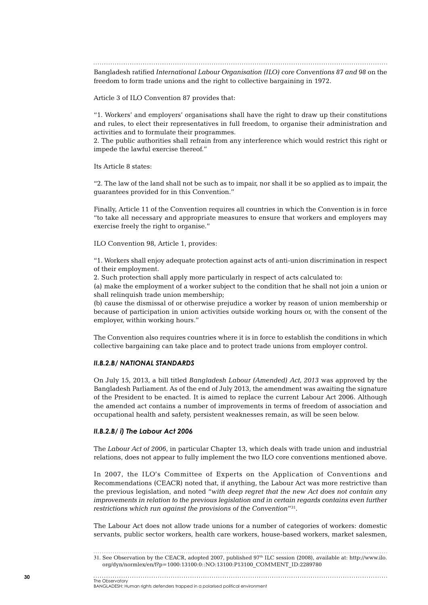Bangladesh ratified *International Labour Organisation (ILO) core Conventions 87 and 98* on the

freedom to form trade unions and the right to collective bargaining in 1972.

Article 3 of ILO Convention 87 provides that:

"1. Workers' and employers' organisations shall have the right to draw up their constitutions and rules, to elect their representatives in full freedom, to organise their administration and activities and to formulate their programmes.

2. The public authorities shall refrain from any interference which would restrict this right or impede the lawful exercise thereof."

Its Article 8 states:

"2. The law of the land shall not be such as to impair, nor shall it be so applied as to impair, the guarantees provided for in this Convention."

Finally, Article 11 of the Convention requires all countries in which the Convention is in force "to take all necessary and appropriate measures to ensure that workers and employers may exercise freely the right to organise."

ILO Convention 98, Article 1, provides:

"1. Workers shall enjoy adequate protection against acts of anti-union discrimination in respect of their employment.

2. Such protection shall apply more particularly in respect of acts calculated to:

(a) make the employment of a worker subject to the condition that he shall not join a union or shall relinquish trade union membership;

(b) cause the dismissal of or otherwise prejudice a worker by reason of union membership or because of participation in union activities outside working hours or, with the consent of the employer, within working hours."

The Convention also requires countries where it is in force to establish the conditions in which collective bargaining can take place and to protect trade unions from employer control.

#### *II.B.2.b/ National standards*

On July 15, 2013, a bill titled *Bangladesh Labour (Amended) Act, 2013* was approved by the Bangladesh Parliament. As of the end of July 2013, the amendment was awaiting the signature of the President to be enacted. It is aimed to replace the current Labour Act 2006. Although the amended act contains a number of improvements in terms of freedom of association and occupational health and safety, persistent weaknesses remain, as will be seen below.

#### *II.B.2.b/ i) The Labour Act 2006*

The *Labour Act of 2006*, in particular Chapter 13, which deals with trade union and industrial relations, does not appear to fully implement the two ILO core conventions mentioned above.

In 2007, the ILO's Committee of Experts on the Application of Conventions and Recommendations (CEACR) noted that, if anything, the Labour Act was more restrictive than the previous legislation, and noted "*with deep regret that the new Act does not contain any improvements in relation to the previous legislation and in certain regards contains even further restrictions which run against the provisions of the Convention*"31.

The Labour Act does not allow trade unions for a number of categories of workers: domestic servants, public sector workers, health care workers, house-based workers, market salesmen,

The Observatory BANGLADESH: Human rights defenders trapped in a polarised political environment

<sup>31</sup>. See Observation by the CEACR, adopted 2007, published 97th ILC session (2008), available at: http://www.ilo. org/dyn/normlex/en/f?p=1000:13100:0::NO:13100:P13100\_COMMENT\_ID:2289780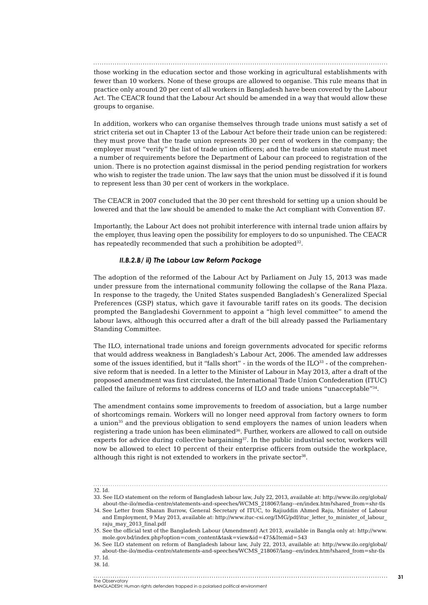those working in the education sector and those working in agricultural establishments with fewer than 10 workers. None of these groups are allowed to organise. This rule means that in practice only around 20 per cent of all workers in Bangladesh have been covered by the Labour Act. The CEACR found that the Labour Act should be amended in a way that would allow these groups to organise.

In addition, workers who can organise themselves through trade unions must satisfy a set of strict criteria set out in Chapter 13 of the Labour Act before their trade union can be registered: they must prove that the trade union represents 30 per cent of workers in the company; the employer must "verify" the list of trade union officers; and the trade union statute must meet a number of requirements before the Department of Labour can proceed to registration of the union. There is no protection against dismissal in the period pending registration for workers who wish to register the trade union. The law says that the union must be dissolved if it is found to represent less than 30 per cent of workers in the workplace.

The CEACR in 2007 concluded that the 30 per cent threshold for setting up a union should be lowered and that the law should be amended to make the Act compliant with Convention 87.

Importantly, the Labour Act does not prohibit interference with internal trade union affairs by the employer, thus leaving open the possibility for employers to do so unpunished. The CEACR has repeatedly recommended that such a prohibition be adopted<sup>32</sup>.

#### *II.B.2.b/ ii) The Labour Law Reform Package*

The adoption of the reformed of the Labour Act by Parliament on July 15, 2013 was made under pressure from the international community following the collapse of the Rana Plaza. In response to the tragedy, the United States suspended Bangladesh's Generalized Special Preferences (GSP) status, which gave it favourable tariff rates on its goods. The decision prompted the Bangladeshi Government to appoint a "high level committee" to amend the labour laws, although this occurred after a draft of the bill already passed the Parliamentary Standing Committee.

The ILO, international trade unions and foreign governments advocated for specific reforms that would address weakness in Bangladesh's Labour Act, 2006. The amended law addresses some of the issues identified, but it "falls short" - in the words of the  $ILO^{33}$  - of the comprehensive reform that is needed. In a letter to the Minister of Labour in May 2013, after a draft of the proposed amendment was first circulated, the International Trade Union Confederation (ITUC) called the failure of reforms to address concerns of ILO and trade unions "unacceptable"34.

The amendment contains some improvements to freedom of association, but a large number of shortcomings remain. Workers will no longer need approval from factory owners to form a union $35$  and the previous obligation to send employers the names of union leaders when registering a trade union has been eliminated<sup>36</sup>. Further, workers are allowed to call on outside experts for advice during collective bargaining $37$ . In the public industrial sector, workers will now be allowed to elect 10 percent of their enterprise officers from outside the workplace, although this right is not extended to workers in the private sector<sup>38</sup>.

32. Id.

<sup>33.</sup> See ILO statement on the reform of Bangladesh labour law, July 22, 2013, available at: http://www.ilo.org/global/ about-the-ilo/media-centre/statements-and-speeches/WCMS\_218067/lang--en/index.htm?shared\_from=shr-tls

<sup>34</sup>. See Letter from Sharan Burrow, General Secretary of ITUC, to Rajiuddin Ahmed Raju, Minister of Labour and Employment, 9 May 2013, available at: http://www.ituc-csi.org/IMG/pdf/ituc\_letter\_to\_minister\_of\_labour raju\_may\_2013\_final.pdf

<sup>35</sup>. See the official text of the Bangladesh Labour (Amendment) Act 2013, available in Bangla only at: http://www. mole.gov.bd/index.php?option=com\_content&task=view&id=475&Itemid=543

<sup>36</sup>. See ILO statement on reform of Bangladesh labour law, July 22, 2013, available at: http://www.ilo.org/global/ about-the-ilo/media-centre/statements-and-speeches/WCMS\_218067/lang--en/index.htm?shared\_from=shr-tls 37. Id.

<sup>38</sup>. Id.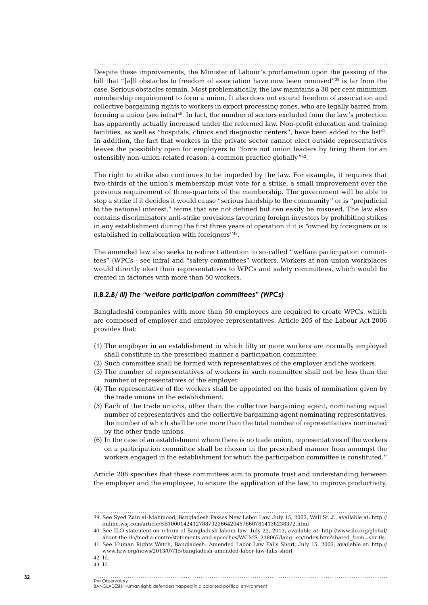Despite these improvements, the Minister of Labour's proclamation upon the passing of the bill that "[a]ll obstacles to freedom of association have now been removed"<sup>39</sup> is far from the case. Serious obstacles remain. Most problematically, the law maintains a 30 per cent minimum membership requirement to form a union. It also does not extend freedom of association and collective bargaining rights to workers in export processing zones, who are legally barred from forming a union (see infra) $40$ . In fact, the number of sectors excluded from the law's protection has apparently actually increased under the reformed law. Non-profit education and training facilities, as well as "hospitals, clinics and diagnostic centers", have been added to the list<sup>41</sup>. In addition, the fact that workers in the private sector cannot elect outside representatives leaves the possibility open for employers to "force out union leaders by firing them for an ostensibly non-union-related reason, a common practice globally"42.

The right to strike also continues to be impeded by the law. For example, it requires that two-thirds of the union's membership must vote for a strike, a small improvement over the previous requirement of three-quarters of the membership. The government will be able to stop a strike if it decides it would cause "serious hardship to the community" or is "prejudicial to the national interest," terms that are not defined but can easily be misused. The law also contains discriminatory anti-strike provisions favouring foreign investors by prohibiting strikes in any establishment during the first three years of operation if it is "owned by foreigners or is established in collaboration with foreigners"43.

The amended law also seeks to redirect attention to so-called "welfare participation committees" (WPCs - see infra) and "safety committees" workers. Workers at non-union workplaces would directly elect their representatives to WPCs and safety committees, which would be created in factories with more than 50 workers.

#### *II.B.2.b/ iii) The "welfare participation committees" (WPCs)*

Bangladeshi companies with more than 50 employees are required to create WPCs, which are composed of employer and employee representatives. Article 205 of the Labour Act 2006 provides that:

- (1) The employer in an establishment in which fifty or more workers are normally employed shall constitute in the prescribed manner a participation committee.
- (2) Such committee shall be formed with representatives of the employer and the workers.
- (3) The number of representatives of workers in such committee shall not be less than the number of representatives of the employer.
- (4) The representative of the workers shall be appointed on the basis of nomination given by the trade unions in the establishment.
- (5) Each of the trade unions, other than the collective bargaining agent, nominating equal number of representatives and the collective bargaining agent nominating representatives, the number of which shall be one more than the total number of representatives nominated by the other trade unions.
- (6) In the case of an establishment where there is no trade union, representatives of the workers on a participation committee shall be chosen in the prescribed manner from amongst the workers engaged in the establishment for which the participation committee is constituted."

Article 206 specifies that these committees aim to promote trust and understanding between the employer and the employee, to ensure the application of the law, to improve productivity,

- 42. Id.
- 43. Id.

<sup>39</sup>. See Syed Zain al-Mahmood, Bangladesh Passes New Labor Law, July 15, 2003, Wall St. J., available at: http:// online.wsj.com/article/SB10001424127887323664204578607814136238372.html

<sup>40</sup>. See ILO statement on reform of Bangladesh labour law, July 22, 2013, available at: http://www.ilo.org/global/ about-the-ilo/media-centre/statements-and-speeches/WCMS\_218067/lang--en/index.htm?shared\_from=shr-tls

<sup>41</sup>. See Human Rights Watch, Bangladesh: Amended Labor Law Falls Short, July 15, 2003, available at: http:// www.hrw.org/news/2013/07/15/bangladesh-amended-labor-law-falls-short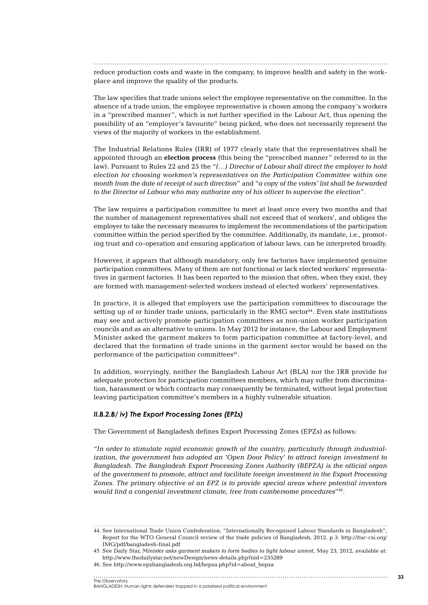reduce production costs and waste in the company, to improve health and safety in the workplace and improve the quality of the products.

The law specifies that trade unions select the employee representative on the committee. In the absence of a trade union, the employee representative is chosen among the company's workers in a "prescribed manner", which is not further specified in the Labour Act, thus opening the possibility of an "employer's favourite" being picked, who does not necessarily represent the views of the majority of workers in the establishment.

The Industrial Relations Rules (IRR) of 1977 clearly state that the representatives shall be appointed through an **election process** (this being the "prescribed manner" referred to in the law). Pursuant to Rules 22 and 25 the "*(…) Director of Labour shall direct the employer to hold election for choosing workmen's representatives on the Participation Committee within one month from the date of receipt of such direction*" and "*a copy of the voters' list shall be forwarded to the Director of Labour who may authorize any of his officer to supervise the election*".

The law requires a participation committee to meet at least once every two months and that the number of management representatives shall not exceed that of workers', and obliges the employer to take the necessary measures to implement the recommendations of the participation committee within the period specified by the committee. Additionally, its mandate, i.e., promoting trust and co-operation and ensuring application of labour laws, can be interpreted broadly.

However, it appears that although mandatory, only few factories have implemented genuine participation committees. Many of them are not functional or lack elected workers' representatives in garment factories. It has been reported to the mission that often, when they exist, they are formed with management-selected workers instead of elected workers' representatives.

In practice, it is alleged that employers use the participation committees to discourage the setting up of or hinder trade unions, particularly in the RMG sector<sup>44</sup>. Even state institutions may see and actively promote participation committees as non-union worker participation councils and as an alternative to unions. In May 2012 for instance, the Labour and Employment Minister asked the garment makers to form participation committee at factory-level, and declared that the formation of trade unions in the garment sector would be based on the performance of the participation committees<sup>45</sup>.

In addition, worryingly, neither the Bangladesh Labour Act (BLA) nor the IRR provide for adequate protection for participation committees members, which may suffer from discrimination, harassment or which contracts may consequently be terminated, without legal protection leaving participation committee's members in a highly vulnerable situation.

#### *II.B.2.b/ iv) The Export Processing Zones (EPZs)*

The Government of Bangladesh defines Export Processing Zones (EPZs) as follows:

"*In order to stimulate rapid economic growth of the country, particularly through industrialization, the government has adopted an 'Open Door Policy' to attract foreign investment to Bangladesh. The Bangladesh Export Processing Zones Authority (BEPZA) is the official organ of the government to promote, attract and facilitate foreign investment in the Export Processing Zones. The primary objective of an EPZ is to provide special areas where potential investors would find a congenial investment climate, free from cumbersome procedures*"46.

44. See International Trade Union Confederation, "Internationally Recognised Labour Standards in Bangladesh", Report for the WTO General Council review of the trade policies of Bangladesh, 2012, p 3. http://ituc-csi.org/ IMG/pdf/bangladesh-final.pdf

45. See Daily Star, *Minister asks garment makers to form bodies to fight labour unrest*, May 23, 2012, available at: http://www.thedailystar.net/newDesign/news-details.php?nid=235289

46. See http://www.epzbangladesh.org.bd/bepza.php?id=about\_bepza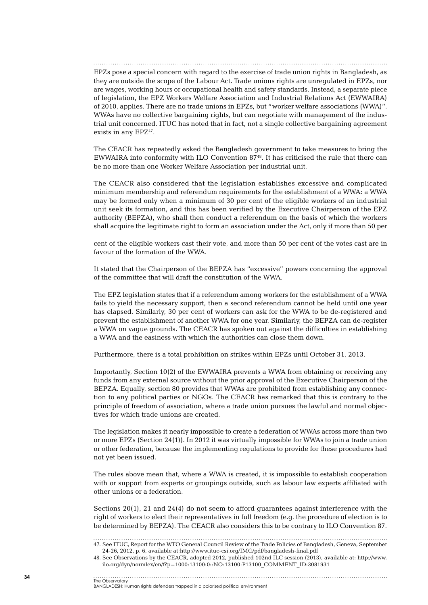EPZs pose a special concern with regard to the exercise of trade union rights in Bangladesh, as they are outside the scope of the Labour Act. Trade unions rights are unregulated in EPZs, nor are wages, working hours or occupational health and safety standards. Instead, a separate piece of legislation, the EPZ Workers Welfare Association and Industrial Relations Act (EWWAIRA) of 2010, applies. There are no trade unions in EPZs, but "worker welfare associations (WWA)". WWAs have no collective bargaining rights, but can negotiate with management of the industrial unit concerned. ITUC has noted that in fact, not a single collective bargaining agreement exists in any EPZ<sup>47</sup>.

The CEACR has repeatedly asked the Bangladesh government to take measures to bring the EWWAIRA into conformity with ILO Convention 8748. It has criticised the rule that there can be no more than one Worker Welfare Association per industrial unit.

The CEACR also considered that the legislation establishes excessive and complicated minimum membership and referendum requirements for the establishment of a WWA: a WWA may be formed only when a minimum of 30 per cent of the eligible workers of an industrial unit seek its formation, and this has been verified by the Executive Chairperson of the EPZ authority (BEPZA), who shall then conduct a referendum on the basis of which the workers shall acquire the legitimate right to form an association under the Act, only if more than 50 per

cent of the eligible workers cast their vote, and more than 50 per cent of the votes cast are in favour of the formation of the WWA.

It stated that the Chairperson of the BEPZA has "excessive" powers concerning the approval of the committee that will draft the constitution of the WWA.

The EPZ legislation states that if a referendum among workers for the establishment of a WWA fails to yield the necessary support, then a second referendum cannot be held until one year has elapsed. Similarly, 30 per cent of workers can ask for the WWA to be de-registered and prevent the establishment of another WWA for one year. Similarly, the BEPZA can de-register a WWA on vague grounds. The CEACR has spoken out against the difficulties in establishing a WWA and the easiness with which the authorities can close them down.

Furthermore, there is a total prohibition on strikes within EPZs until October 31, 2013.

Importantly, Section 10(2) of the EWWAIRA prevents a WWA from obtaining or receiving any funds from any external source without the prior approval of the Executive Chairperson of the BEPZA. Equally, section 80 provides that WWAs are prohibited from establishing any connection to any political parties or NGOs. The CEACR has remarked that this is contrary to the principle of freedom of association, where a trade union pursues the lawful and normal objectives for which trade unions are created.

The legislation makes it nearly impossible to create a federation of WWAs across more than two or more EPZs (Section 24(1)). In 2012 it was virtually impossible for WWAs to join a trade union or other federation, because the implementing regulations to provide for these procedures had not yet been issued.

The rules above mean that, where a WWA is created, it is impossible to establish cooperation with or support from experts or groupings outside, such as labour law experts affiliated with other unions or a federation.

Sections 20(1), 21 and 24(4) do not seem to afford guarantees against interference with the right of workers to elect their representatives in full freedom (e.g. the procedure of election is to be determined by BEPZA). The CEACR also considers this to be contrary to ILO Convention 87.

<sup>47</sup>. See ITUC, Report for the WTO General Council Review of the Trade Policies of Bangladesh, Geneva, September 24-26, 2012, p. 6, available at:http://www.ituc-csi.org/IMG/pdf/bangladesh-final.pdf

<sup>48</sup>. See Observations by the CEACR, adopted 2012, published 102nd ILC session (2013), available at: http://www. ilo.org/dyn/normlex/en/f?p=1000:13100:0::NO:13100:P13100\_COMMENT\_ID:3081931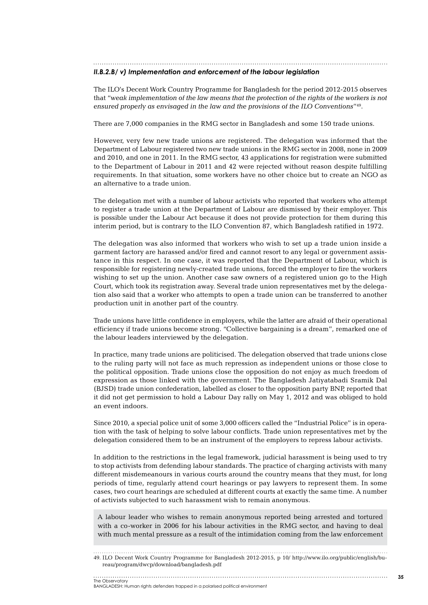*II.B.2.b/ v) Implementation and enforcement of the labour legislation*

The ILO's Decent Work Country Programme for Bangladesh for the period 2012-2015 observes that "*weak implementation of the law means that the protection of the rights of the workers is not ensured properly as envisaged in the law and the provisions of the ILO Conventions*"49.

There are 7,000 companies in the RMG sector in Bangladesh and some 150 trade unions.

However, very few new trade unions are registered. The delegation was informed that the Department of Labour registered two new trade unions in the RMG sector in 2008, none in 2009 and 2010, and one in 2011. In the RMG sector, 43 applications for registration were submitted to the Department of Labour in 2011 and 42 were rejected without reason despite fulfilling requirements. In that situation, some workers have no other choice but to create an NGO as an alternative to a trade union.

The delegation met with a number of labour activists who reported that workers who attempt to register a trade union at the Department of Labour are dismissed by their employer. This is possible under the Labour Act because it does not provide protection for them during this interim period, but is contrary to the ILO Convention 87, which Bangladesh ratified in 1972.

The delegation was also informed that workers who wish to set up a trade union inside a garment factory are harassed and/or fired and cannot resort to any legal or government assistance in this respect. In one case, it was reported that the Department of Labour, which is responsible for registering newly-created trade unions, forced the employer to fire the workers wishing to set up the union. Another case saw owners of a registered union go to the High Court, which took its registration away. Several trade union representatives met by the delegation also said that a worker who attempts to open a trade union can be transferred to another production unit in another part of the country.

Trade unions have little confidence in employers, while the latter are afraid of their operational efficiency if trade unions become strong. "Collective bargaining is a dream", remarked one of the labour leaders interviewed by the delegation.

In practice, many trade unions are politicised. The delegation observed that trade unions close to the ruling party will not face as much repression as independent unions or those close to the political opposition. Trade unions close the opposition do not enjoy as much freedom of expression as those linked with the government. The Bangladesh Jatiyatabadi Sramik Dal (BJSD) trade union confederation, labelled as closer to the opposition party BNP, reported that it did not get permission to hold a Labour Day rally on May 1, 2012 and was obliged to hold an event indoors.

Since 2010, a special police unit of some 3,000 officers called the "Industrial Police" is in operation with the task of helping to solve labour conflicts. Trade union representatives met by the delegation considered them to be an instrument of the employers to repress labour activists.

In addition to the restrictions in the legal framework, judicial harassment is being used to try to stop activists from defending labour standards. The practice of charging activists with many different misdemeanours in various courts around the country means that they must, for long periods of time, regularly attend court hearings or pay lawyers to represent them. In some cases, two court hearings are scheduled at different courts at exactly the same time. A number of activists subjected to such harassment wish to remain anonymous.

A labour leader who wishes to remain anonymous reported being arrested and tortured with a co-worker in 2006 for his labour activities in the RMG sector, and having to deal with much mental pressure as a result of the intimidation coming from the law enforcement

49. ILO Decent Work Country Programme for Bangladesh 2012-2015, p 10/ http://www.ilo.org/public/english/bureau/program/dwcp/download/bangladesh.pdf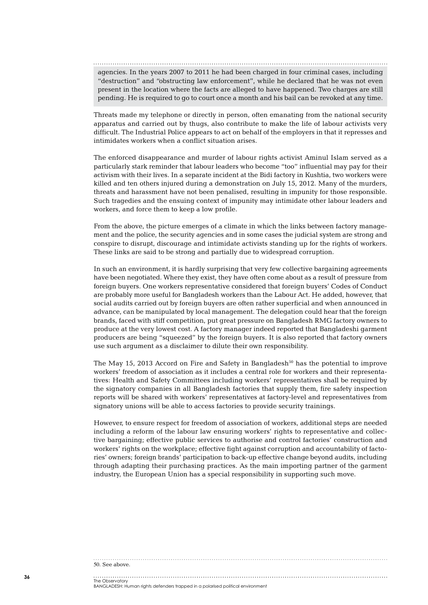agencies. In the years 2007 to 2011 he had been charged in four criminal cases, including "destruction" and "obstructing law enforcement", while he declared that he was not even present in the location where the facts are alleged to have happened. Two charges are still pending. He is required to go to court once a month and his bail can be revoked at any time.

Threats made my telephone or directly in person, often emanating from the national security apparatus and carried out by thugs, also contribute to make the life of labour activists very difficult. The Industrial Police appears to act on behalf of the employers in that it represses and intimidates workers when a conflict situation arises.

The enforced disappearance and murder of labour rights activist Aminul Islam served as a particularly stark reminder that labour leaders who become "too" influential may pay for their activism with their lives. In a separate incident at the Bidi factory in Kushtia, two workers were killed and ten others injured during a demonstration on July 15, 2012. Many of the murders, threats and harassment have not been penalised, resulting in impunity for those responsible. Such tragedies and the ensuing context of impunity may intimidate other labour leaders and workers, and force them to keep a low profile.

From the above, the picture emerges of a climate in which the links between factory management and the police, the security agencies and in some cases the judicial system are strong and conspire to disrupt, discourage and intimidate activists standing up for the rights of workers. These links are said to be strong and partially due to widespread corruption.

In such an environment, it is hardly surprising that very few collective bargaining agreements have been negotiated. Where they exist, they have often come about as a result of pressure from foreign buyers. One workers representative considered that foreign buyers' Codes of Conduct are probably more useful for Bangladesh workers than the Labour Act. He added, however, that social audits carried out by foreign buyers are often rather superficial and when announced in advance, can be manipulated by local management. The delegation could hear that the foreign brands, faced with stiff competition, put great pressure on Bangladesh RMG factory owners to produce at the very lowest cost. A factory manager indeed reported that Bangladeshi garment producers are being "squeezed" by the foreign buyers. It is also reported that factory owners use such argument as a disclaimer to dilute their own responsibility.

The May 15, 2013 Accord on Fire and Safety in Bangladesh<sup>50</sup> has the potential to improve workers' freedom of association as it includes a central role for workers and their representatives: Health and Safety Committees including workers' representatives shall be required by the signatory companies in all Bangladesh factories that supply them, fire safety inspection reports will be shared with workers' representatives at factory-level and representatives from signatory unions will be able to access factories to provide security trainings.

However, to ensure respect for freedom of association of workers, additional steps are needed including a reform of the labour law ensuring workers' rights to representative and collective bargaining; effective public services to authorise and control factories' construction and workers' rights on the workplace; effective fight against corruption and accountability of factories' owners; foreign brands' participation to back-up effective change beyond audits, including through adapting their purchasing practices. As the main importing partner of the garment industry, the European Union has a special responsibility in supporting such move.

#### 50. See above.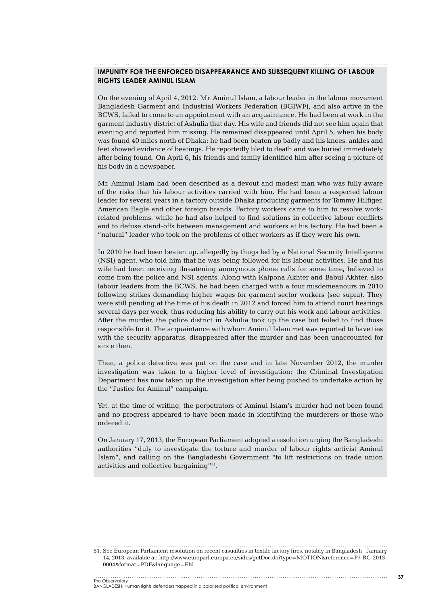#### **Impunity for the enforced disappearance and subsequent killing of labour rights leader Aminul Islam**

On the evening of April 4, 2012, Mr. Aminul Islam, a labour leader in the labour movement Bangladesh Garment and Industrial Workers Federation (BGIWF), and also active in the BCWS, failed to come to an appointment with an acquaintance. He had been at work in the garment industry district of Ashulia that day. His wife and friends did not see him again that evening and reported him missing. He remained disappeared until April 5, when his body was found 40 miles north of Dhaka: he had been beaten up badly and his knees, ankles and feet showed evidence of beatings. He reportedly bled to death and was buried immediately after being found. On April 6, his friends and family identified him after seeing a picture of his body in a newspaper.

Mr. Aminul Islam had been described as a devout and modest man who was fully aware of the risks that his labour activities carried with him. He had been a respected labour leader for several years in a factory outside Dhaka producing garments for Tommy Hilfiger, American Eagle and other foreign brands. Factory workers came to him to resolve workrelated problems, while he had also helped to find solutions in collective labour conflicts and to defuse stand-offs between management and workers at his factory. He had been a "natural" leader who took on the problems of other workers as if they were his own.

In 2010 he had been beaten up, allegedly by thugs led by a National Security Intelligence (NSI) agent, who told him that he was being followed for his labour activities. He and his wife had been receiving threatening anonymous phone calls for some time, believed to come from the police and NSI agents. Along with Kalpona Akhter and Babul Akhter, also labour leaders from the BCWS, he had been charged with a four misdemeanours in 2010 following strikes demanding higher wages for garment sector workers (see supra). They were still pending at the time of his death in 2012 and forced him to attend court hearings several days per week, thus reducing his ability to carry out his work and labour activities. After the murder, the police district in Ashulia took up the case but failed to find those responsible for it. The acquaintance with whom Aminul Islam met was reported to have ties with the security apparatus, disappeared after the murder and has been unaccounted for since then.

Then, a police detective was put on the case and in late November 2012, the murder investigation was taken to a higher level of investigation: the Criminal Investigation Department has now taken up the investigation after being pushed to undertake action by the "Justice for Aminul" campaign.

Yet, at the time of writing, the perpetrators of Aminul Islam's murder had not been found and no progress appeared to have been made in identifying the murderers or those who ordered it.

On January 17, 2013, the European Parliament adopted a resolution urging the Bangladeshi authorities "duly to investigate the torture and murder of labour rights activist Aminul Islam", and calling on the Bangladeshi Government "to lift restrictions on trade union activities and collective bargaining"51.

51. See European Parliament resolution on recent casualties in textile factory fires, notably in Bangladesh , January 14, 2013, available at: http://www.europarl.europa.eu/sides/getDoc.do?type=MOTION&reference=P7-RC-2013- 0004&format=PDF&language=EN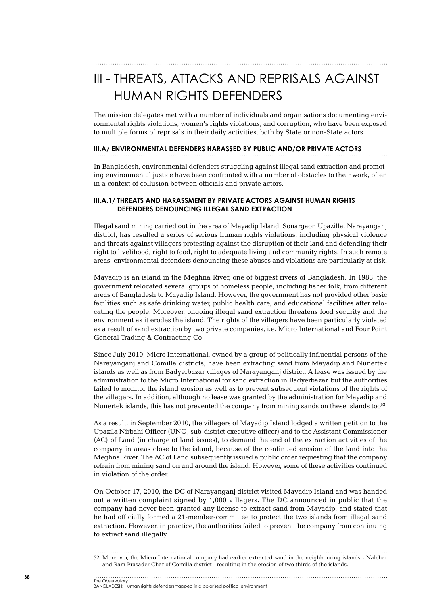# III - THREATS, ATTACKS AND REPRISALS AGAINST HUMAN RIGHTS DEFENDERS

The mission delegates met with a number of individuals and organisations documenting environmental rights violations, women's rights violations, and corruption, who have been exposed to multiple forms of reprisals in their daily activities, both by State or non-State actors.

#### **III.A/ Environmental defenders harassed by public and/or private actors**

In Bangladesh, environmental defenders struggling against illegal sand extraction and promoting environmental justice have been confronted with a number of obstacles to their work, often in a context of collusion between officials and private actors.

#### **III.A.1/ Threats and harassment by private actors against human rights defenders denouncing illegal sand extraction**

Illegal sand mining carried out in the area of Mayadip Island, Sonargaon Upazilla, Narayanganj district, has resulted a series of serious human rights violations, including physical violence and threats against villagers protesting against the disruption of their land and defending their right to livelihood, right to food, right to adequate living and community rights. In such remote areas, environmental defenders denouncing these abuses and violations are particularly at risk.

Mayadip is an island in the Meghna River, one of biggest rivers of Bangladesh. In 1983, the government relocated several groups of homeless people, including fisher folk, from different areas of Bangladesh to Mayadip Island. However, the government has not provided other basic facilities such as safe drinking water, public health care, and educational facilities after relocating the people. Moreover, ongoing illegal sand extraction threatens food security and the environment as it erodes the island. The rights of the villagers have been particularly violated as a result of sand extraction by two private companies, i.e. Micro International and Four Point General Trading & Contracting Co.

Since July 2010, Micro International, owned by a group of politically influential persons of the Narayanganj and Comilla districts, have been extracting sand from Mayadip and Nunertek islands as well as from Badyerbazar villages of Narayanganj district. A lease was issued by the administration to the Micro International for sand extraction in Badyerbazar, but the authorities failed to monitor the island erosion as well as to prevent subsequent violations of the rights of the villagers. In addition, although no lease was granted by the administration for Mayadip and Nunertek islands, this has not prevented the company from mining sands on these islands too<sup>52</sup>.

As a result, in September 2010, the villagers of Mayadip Island lodged a written petition to the Upazila Nirbahi Officer (UNO; sub-district executive officer) and to the Assistant Commissioner (AC) of Land (in charge of land issues), to demand the end of the extraction activities of the company in areas close to the island, because of the continued erosion of the land into the Meghna River. The AC of Land subsequently issued a public order requesting that the company refrain from mining sand on and around the island. However, some of these activities continued in violation of the order.

On October 17, 2010, the DC of Narayanganj district visited Mayadip Island and was handed out a written complaint signed by 1,000 villagers. The DC announced in public that the company had never been granted any license to extract sand from Mayadip, and stated that he had officially formed a 21-member-committee to protect the two islands from illegal sand extraction. However, in practice, the authorities failed to prevent the company from continuing to extract sand illegally.

<sup>52</sup>. Moreover, the Micro International company had earlier extracted sand in the neighbouring islands - Nalchar and Ram Prasader Char of Comilla district - resulting in the erosion of two thirds of the islands.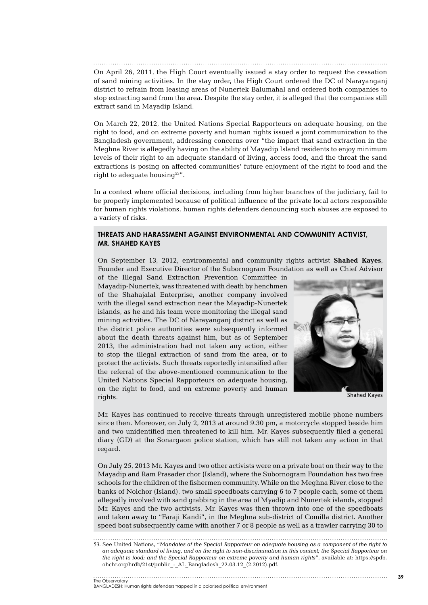On April 26, 2011, the High Court eventually issued a stay order to request the cessation of sand mining activities. In the stay order, the High Court ordered the DC of Narayanganj district to refrain from leasing areas of Nunertek Balumahal and ordered both companies to stop extracting sand from the area. Despite the stay order, it is alleged that the companies still extract sand in Mayadip Island.

On March 22, 2012, the United Nations Special Rapporteurs on adequate housing, on the right to food, and on extreme poverty and human rights issued a joint communication to the Bangladesh government, addressing concerns over "the impact that sand extraction in the Meghna River is allegedly having on the ability of Mayadip Island residents to enjoy minimum levels of their right to an adequate standard of living, access food, and the threat the sand extractions is posing on affected communities' future enjoyment of the right to food and the right to adequate housing $53"$ .

In a context where official decisions, including from higher branches of the judiciary, fail to be properly implemented because of political influence of the private local actors responsible for human rights violations, human rights defenders denouncing such abuses are exposed to a variety of risks.

#### **Threats and harassment against environmental and community activist, Mr. Shahed Kayes**

On September 13, 2012, environmental and community rights activist **Shahed Kayes**, Founder and Executive Director of the Subornogram Foundation as well as Chief Advisor

of the Illegal Sand Extraction Prevention Committee in Mayadip-Nunertek, was threatened with death by henchmen of the Shahajalal Enterprise, another company involved with the illegal sand extraction near the Mayadip-Nunertek islands, as he and his team were monitoring the illegal sand mining activities. The DC of Narayanganj district as well as the district police authorities were subsequently informed about the death threats against him, but as of September 2013, the administration had not taken any action, either to stop the illegal extraction of sand from the area, or to protect the activists. Such threats reportedly intensified after the referral of the above-mentioned communication to the United Nations Special Rapporteurs on adequate housing, on the right to food, and on extreme poverty and human rights.



Shahed Kayes

Mr. Kayes has continued to receive threats through unregistered mobile phone numbers since then. Moreover, on July 2, 2013 at around 9.30 pm, a motorcycle stopped beside him and two unidentified men threatened to kill him. Mr. Kayes subsequently filed a general diary (GD) at the Sonargaon police station, which has still not taken any action in that regard.

On July 25, 2013 Mr. Kayes and two other activists were on a private boat on their way to the Mayadip and Ram Prasader chor (Island), where the Subornogram Foundation has two free schools for the children of the fishermen community. While on the Meghna River, close to the banks of Nolchor (Island), two small speedboats carrying 6 to 7 people each, some of them allegedly involved with sand grabbing in the area of Myadip and Nunertek islands, stopped Mr. Kayes and the two activists. Mr. Kayes was then thrown into one of the speedboats and taken away to "Faraji Kandi", in the Meghna sub-district of Comilla district. Another speed boat subsequently came with another 7 or 8 people as well as a trawler carrying 30 to

<sup>53</sup>. See United Nations, "*Mandates of the Special Rapporteur on adequate housing as a component of the right to an adequate standard of living, and on the right to non-discrimination in this context; the Special Rapporteur on the right to food; and the Special Rapporteur on extreme poverty and human rights*", available at: https://spdb. ohchr.org/hrdb/21st/public\_-\_AL\_Bangladesh\_22.03.12\_(2.2012).pdf.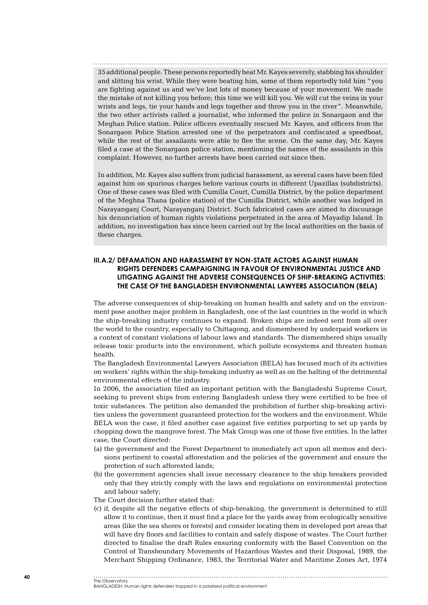35 additional people. These persons reportedly beat Mr. Kayes severely, stabbing his shoulder and slitting his wrist. While they were beating him, some of them reportedly told him "you are fighting against us and we've lost lots of money because of your movement. We made the mistake of not killing you before; this time we will kill you. We will cut the veins in your wrists and legs, tie your hands and legs together and throw you in the river". Meanwhile, the two other activists called a journalist, who informed the police in Sonargaon and the Meghan Police station. Police officers eventually rescued Mr. Kayes, and officers from the Sonargaon Police Station arrested one of the perpetrators and confiscated a speedboat, while the rest of the assailants were able to flee the scene. On the same day, Mr. Kayes filed a case at the Sonargaon police station, mentioning the names of the assailants in this complaint. However, no further arrests have been carried out since then.

In addition, Mr. Kayes also suffers from judicial harassment, as several cases have been filed against him on spurious charges before various courts in different Upazillas (subdistricts). One of these cases was filed with Cumilla Court, Cumilla District, by the police department of the Meghna Thana (police station) of the Cumilla District, while another was lodged in Narayanganj Court, Narayanganj District. Such fabricated cases are aimed to discourage his denunciation of human rights violations perpetrated in the area of Mayadip Island. In addition, no investigation has since been carried out by the local authorities on the basis of these charges.

#### **III.A.2/ Defamation and harassment by non-State actors against human rights defenders campaigning in favour of environmental justice and litigating against the adverse consequences of ship-breaking activities: the case of the Bangladesh Environmental Lawyers Association (BELA)**

The adverse consequences of ship-breaking on human health and safety and on the environment pose another major problem in Bangladesh, one of the last countries in the world in which the ship-breaking industry continues to expand. Broken ships are indeed sent from all over the world to the country, especially to Chittagong, and dismembered by underpaid workers in a context of constant violations of labour laws and standards. The dismembered ships usually release toxic products into the environment, which pollute ecosystems and threaten human health.

The Bangladesh Environmental Lawyers Association (BELA) has focused much of its activities on workers' rights within the ship-breaking industry as well as on the halting of the detrimental environmental effects of the industry.

In 2006, the association filed an important petition with the Bangladeshi Supreme Court, seeking to prevent ships from entering Bangladesh unless they were certified to be free of toxic substances. The petition also demanded the prohibition of further ship-breaking activities unless the government guaranteed protection for the workers and the environment. While BELA won the case, it filed another case against five entities purporting to set up yards by chopping down the mangrove forest. The Mak Group was one of those five entities. In the latter case, the Court directed:

- (a) the government and the Forest Department to immediately act upon all memos and decisions pertinent to coastal afforestation and the policies of the government and ensure the protection of such afforested lands;
- (b) the government agencies shall issue necessary clearance to the ship breakers provided only that they strictly comply with the laws and regulations on environmental protection and labour safety;

The Court decision further stated that:

(c) if, despite all the negative effects of ship-breaking, the government is determined to still allow it to continue, then it must find a place for the yards away from ecologically sensitive areas (like the sea shores or forests) and consider locating them in developed port areas that will have dry floors and facilities to contain and safely dispose of wastes. The Court further directed to finalise the draft Rules ensuring conformity with the Basel Convention on the Control of Transboundary Movements of Hazardous Wastes and their Disposal, 1989, the Merchant Shipping Ordinance, 1983, the Territorial Water and Maritime Zones Act, 1974

The Observatory BANGLADESH: Human rights defenders trapped in a polarised political environment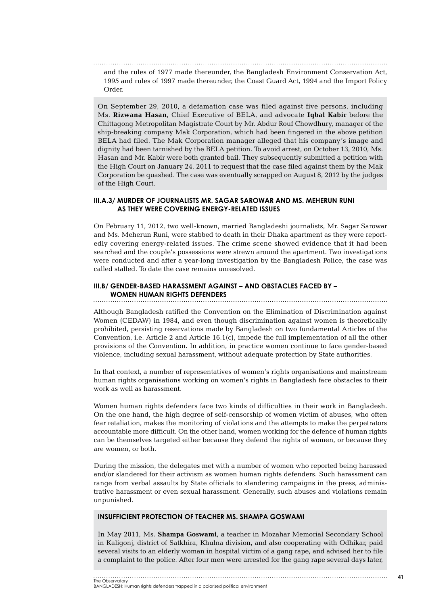and the rules of 1977 made thereunder, the Bangladesh Environment Conservation Act, 1995 and rules of 1997 made thereunder, the Coast Guard Act, 1994 and the Import Policy Order.

On September 29, 2010, a defamation case was filed against five persons, including Ms. **Rizwana Hasan**, Chief Executive of BELA, and advocate **Iqbal Kabir** before the Chittagong Metropolitan Magistrate Court by Mr. Abdur Rouf Chowdhury, manager of the ship-breaking company Mak Corporation, which had been fingered in the above petition BELA had filed. The Mak Corporation manager alleged that his company's image and dignity had been tarnished by the BELA petition. To avoid arrest, on October 13, 2010, Ms. Hasan and Mr. Kabir were both granted bail. They subsequently submitted a petition with the High Court on January 24, 2011 to request that the case filed against them by the Mak Corporation be quashed. The case was eventually scrapped on August 8, 2012 by the judges of the High Court.

#### **III.A.3/ Murder of journalists Mr. Sagar Sarowar and Ms. Meherun Runi as they were covering energy-related issues**

On February 11, 2012, two well-known, married Bangladeshi journalists, Mr. Sagar Sarowar and Ms. Meherun Runi, were stabbed to death in their Dhaka apartment as they were reportedly covering energy-related issues. The crime scene showed evidence that it had been searched and the couple's possessions were strewn around the apartment. Two investigations were conducted and after a year-long investigation by the Bangladesh Police, the case was called stalled. To date the case remains unresolved.

#### **III.B/ Gender-based harassment against – and obstacles faced by – women human rights defenders**

Although Bangladesh ratified the Convention on the Elimination of Discrimination against Women (CEDAW) in 1984, and even though discrimination against women is theoretically prohibited, persisting reservations made by Bangladesh on two fundamental Articles of the Convention, i.e. Article 2 and Article 16.1(c), impede the full implementation of all the other provisions of the Convention. In addition, in practice women continue to face gender-based violence, including sexual harassment, without adequate protection by State authorities.

In that context, a number of representatives of women's rights organisations and mainstream human rights organisations working on women's rights in Bangladesh face obstacles to their work as well as harassment.

Women human rights defenders face two kinds of difficulties in their work in Bangladesh. On the one hand, the high degree of self-censorship of women victim of abuses, who often fear retaliation, makes the monitoring of violations and the attempts to make the perpetrators accountable more difficult. On the other hand, women working for the defence of human rights can be themselves targeted either because they defend the rights of women, or because they are women, or both.

During the mission, the delegates met with a number of women who reported being harassed and/or slandered for their activism as women human rights defenders. Such harassment can range from verbal assaults by State officials to slandering campaigns in the press, administrative harassment or even sexual harassment. Generally, such abuses and violations remain unpunished.

#### **Insufficient protection of teacher Ms. Shampa Goswami**

In May 2011, Ms. **Shampa Goswami**, a teacher in Mozahar Memorial Secondary School in Kaligonj, district of Satkhira, Khulna division, and also cooperating with Odhikar, paid several visits to an elderly woman in hospital victim of a gang rape, and advised her to file a complaint to the police. After four men were arrested for the gang rape several days later,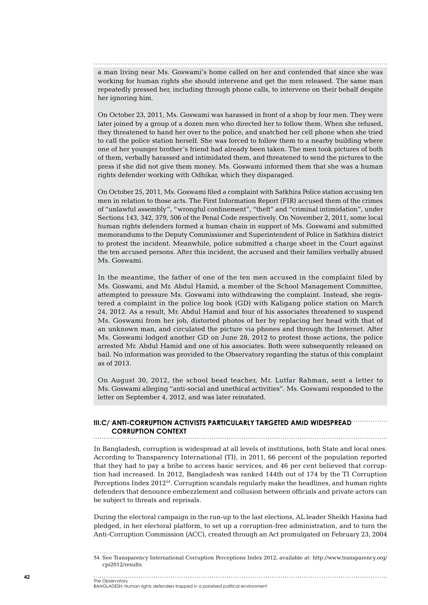a man living near Ms. Goswami's home called on her and contended that since she was working for human rights she should intervene and get the men released. The same man repeatedly pressed her, including through phone calls, to intervene on their behalf despite her ignoring him.

On October 23, 2011, Ms. Goswami was harassed in front of a shop by four men. They were later joined by a group of a dozen men who directed her to follow them. When she refused, they threatened to hand her over to the police, and snatched her cell phone when she tried to call the police station herself. She was forced to follow them to a nearby building where one of her younger brother's friend had already been taken. The men took pictures of both of them, verbally harassed and intimidated them, and threatened to send the pictures to the press if she did not give them money. Ms. Goswami informed them that she was a human rights defender working with Odhikar, which they disparaged.

On October 25, 2011, Ms. Goswami filed a complaint with Satkhira Police station accusing ten men in relation to those acts. The First Information Report (FIR) accused them of the crimes of "unlawful assembly", "wrongful confinement", "theft" and "criminal intimidation", under Sections 143, 342, 379, 506 of the Penal Code respectively. On November 2, 2011, some local human rights defenders formed a human chain in support of Ms. Goswami and submitted memorandums to the Deputy Commissioner and Superintendent of Police in Satkhira district to protest the incident. Meanwhile, police submitted a charge sheet in the Court against the ten accused persons. After this incident, the accused and their families verbally abused Ms. Goswami.

In the meantime, the father of one of the ten men accused in the complaint filed by Ms. Goswami, and Mr. Abdul Hamid, a member of the School Management Committee, attempted to pressure Ms. Goswami into withdrawing the complaint. Instead, she registered a complaint in the police log book (GD) with Kaligang police station on March 24, 2012. As a result, Mr. Abdul Hamid and four of his associates threatened to suspend Ms. Goswami from her job, distorted photos of her by replacing her head with that of an unknown man, and circulated the picture via phones and through the Internet. After Ms. Goswami lodged another GD on June 28, 2012 to protest those actions, the police arrested Mr. Abdul Hamid and one of his associates. Both were subsequently released on bail. No information was provided to the Observatory regarding the status of this complaint as of 2013.

On August 30, 2012, the school head teacher, Mr. Lutfar Rahman, sent a letter to Ms. Goswami alleging "anti-social and unethical activities". Ms. Goswami responded to the letter on September 4, 2012, and was later reinstated.

## **III.C/ Anti-corruption activists particularly targeted amid widespread corruption context**

In Bangladesh, corruption is widespread at all levels of institutions, both State and local ones. According to Transparency International (TI), in 2011, 66 percent of the population reported that they had to pay a bribe to access basic services, and 46 per cent believed that corruption had increased. In 2012, Bangladesh was ranked 144th out of 174 by the TI Corruption Perceptions Index 201254. Corruption scandals regularly make the headlines, and human rights defenders that denounce embezzlement and collusion between officials and private actors can be subject to threats and reprisals.

During the electoral campaign in the run-up to the last elections, AL leader Sheikh Hasina had pledged, in her electoral platform, to set up a corruption-free administration, and to turn the Anti-Corruption Commission (ACC), created through an Act promulgated on February 23, 2004

54. See Transparency International Corruption Perceptions Index 2012, available at: http://www.transparency.org/ cpi2012/results.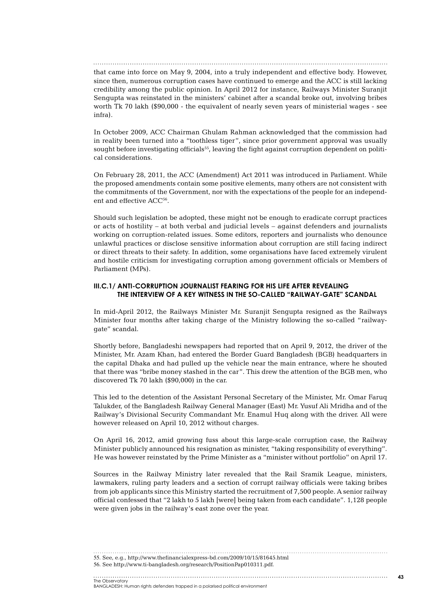that came into force on May 9, 2004, into a truly independent and effective body. However, since then, numerous corruption cases have continued to emerge and the ACC is still lacking credibility among the public opinion. In April 2012 for instance, Railways Minister Suranjit Sengupta was reinstated in the ministers' cabinet after a scandal broke out, involving bribes worth Tk 70 lakh (\$90,000 - the equivalent of nearly seven years of ministerial wages - see infra).

In October 2009, ACC Chairman Ghulam Rahman acknowledged that the commission had in reality been turned into a "toothless tiger", since prior government approval was usually sought before investigating officials<sup>55</sup>, leaving the fight against corruption dependent on political considerations.

On February 28, 2011, the ACC (Amendment) Act 2011 was introduced in Parliament. While the proposed amendments contain some positive elements, many others are not consistent with the commitments of the Government, nor with the expectations of the people for an independent and effective ACC<sup>56</sup>.

Should such legislation be adopted, these might not be enough to eradicate corrupt practices or acts of hostility – at both verbal and judicial levels – against defenders and journalists working on corruption-related issues. Some editors, reporters and journalists who denounce unlawful practices or disclose sensitive information about corruption are still facing indirect or direct threats to their safety. In addition, some organisations have faced extremely virulent and hostile criticism for investigating corruption among government officials or Members of Parliament (MPs).

#### **III.C.1/ Anti-corruption journalist fearing for his life after revealing the interview of a key witness in the so-called "railway-gate" scandal**

In mid-April 2012, the Railways Minister Mr. Suranjit Sengupta resigned as the Railways Minister four months after taking charge of the Ministry following the so-called "railwaygate" scandal.

Shortly before, Bangladeshi newspapers had reported that on April 9, 2012, the driver of the Minister, Mr. Azam Khan, had entered the Border Guard Bangladesh (BGB) headquarters in the capital Dhaka and had pulled up the vehicle near the main entrance, where he shouted that there was "bribe money stashed in the car". This drew the attention of the BGB men, who discovered Tk 70 lakh (\$90,000) in the car.

This led to the detention of the Assistant Personal Secretary of the Minister, Mr. Omar Faruq Talukder, of the Bangladesh Railway General Manager (East) Mr. Yusuf Ali Mridha and of the Railway's Divisional Security Commandant Mr. Enamul Huq along with the driver. All were however released on April 10, 2012 without charges.

On April 16, 2012, amid growing fuss about this large-scale corruption case, the Railway Minister publicly announced his resignation as minister, "taking responsibility of everything". He was however reinstated by the Prime Minister as a "minister without portfolio" on April 17.

Sources in the Railway Ministry later revealed that the Rail Sramik League, ministers, lawmakers, ruling party leaders and a section of corrupt railway officials were taking bribes from job applicants since this Ministry started the recruitment of 7,500 people. A senior railway official confessed that "2 lakh to 5 lakh [were] being taken from each candidate". 1,128 people were given jobs in the railway's east zone over the year.

55. See, e.g., http://www.thefinancialexpress-bd.com/2009/10/15/81645.html

<sup>56</sup>. See http://www.ti-bangladesh.org/research/PositionPap010311.pdf.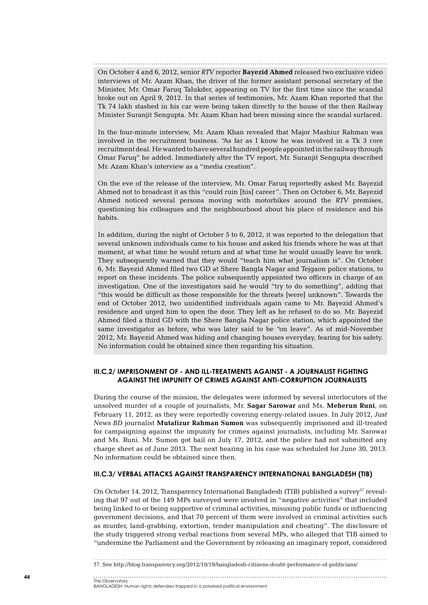On October 4 and 6, 2012, senior *RTV* reporter **Bayezid Ahmed** released two exclusive video interviews of Mr. Azam Khan, the driver of the former assistant personal secretary of the Minister, Mr. Omar Faruq Talukder, appearing on TV for the first time since the scandal broke out on April 9, 2012. In that series of testimonies, Mr. Azam Khan reported that the Tk 74 lakh stashed in his car were being taken directly to the house of the then Railway Minister Suranjit Sengupta. Mr. Azam Khan had been missing since the scandal surfaced.

In the four-minute interview, Mr. Azam Khan revealed that Major Mashiur Rahman was involved in the recruitment business. "As far as I know he was involved in a Tk 3 core recruitment deal. He wanted to have several hundred people appointed in the railway through Omar Faruq" he added. Immediately after the TV report, Mr. Suranjit Sengupta described Mr. Azam Khan's interview as a "media creation".

On the eve of the release of the interview, Mr. Omar Faruq reportedly asked Mr. Bayezid Ahmed not to broadcast it as this "could ruin [his] career". Then on October 6, Mr. Bayezid Ahmed noticed several persons moving with motorbikes around the *RTV* premises, questioning his colleagues and the neighbourhood about his place of residence and his habits.

In addition, during the night of October 5 to 6, 2012, it was reported to the delegation that several unknown individuals came to his house and asked his friends where he was at that moment, at what time he would return and at what time he would usually leave for work. They subsequently warned that they would "teach him what journalism is". On October 6, Mr. Bayezid Ahmed filed two GD at Shere Bangla Nagar and Tejgaon police stations, to report on these incidents. The police subsequently appointed two officers in charge of an investigation. One of the investigators said he would "try to do something", adding that "this would be difficult as those responsible for the threats [were] unknown". Towards the end of October 2012, two unidentified individuals again came to Mr. Bayezid Ahmed's residence and urged him to open the door. They left as he refused to do so. Mr. Bayezid Ahmed filed a third GD with the Shere Bangla Nagar police station, which appointed the same investigator as before, who was later said to be "on leave". As of mid-November 2012, Mr. Bayezid Ahmed was hiding and changing houses everyday, fearing for his safety. No information could be obtained since then regarding his situation.

#### **III.C.2/ Imprisonment of - and ill-treatments against - a journalist fighting against the impunity of crimes against anti-corruption journalists**

During the course of the mission, the delegates were informed by several interlocutors of the unsolved murder of a couple of journalists, Mr. **Sagar Sarowar** and Ms. **Meherun Runi**, on February 11, 2012, as they were reportedly covering energy-related issues. In July 2012, *Just News BD* journalist **Mutafizur Rahman Sumon** was subsequently imprisoned and ill-treated for campaigning against the impunity for crimes against journalists, including Mr. Sarowar and Ms. Runi. Mr. Sumon got bail on July 17, 2012, and the police had not submitted any charge sheet as of June 2013. The next hearing in his case was scheduled for June 30, 2013. No information could be obtained since then.

#### **III.C.3/ VERBAL ATTACKS against Transparency International Bangladesh (TIB)**

On October 14, 2012, Transparency International Bangladesh (TIB) published a survey<sup>57</sup> revealing that 97 out of the 149 MPs surveyed were involved in "negative activities" that included being linked to or being supportive of criminal activities, misusing public funds or influencing government decisions, and that 70 percent of them were involved in criminal activities such as murder, land-grabbing, extortion, tender manipulation and cheating". The disclosure of the study triggered strong verbal reactions from several MPs, who alleged that TIB aimed to "undermine the Parliament and the Government by releasing an imaginary report, considered

<sup>57</sup>. See http://blog.transparency.org/2012/10/19/bangladesh-citizens-doubt-performance-of-politicians/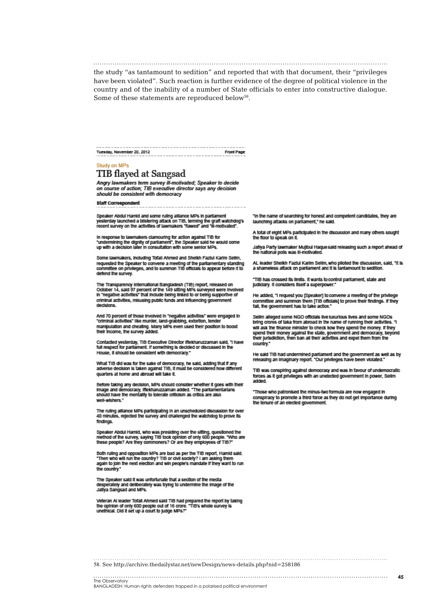the study "as tantamount to sedition" and reported that with that document, their "privileges have been violated". Such reaction is further evidence of the degree of political violence in the country and of the inability of a number of State officials to enter into constructive dialogue. Some of these statements are reproduced below<sup>58</sup>.

Tuesday, November 20, 2012 Front Page

#### Study on MPs TIB flayed at Sangsad

Angry lawmakers term survey ill-motivated; Speaker to decide<br>on course of action; TIB executive director says any decision should be consistent with democracy

**Staff Correspondent** 

Speaker Abdul Hamid and some ruling alliance MPs in parliament<br>yesterday launched a blistering attack on TiB, terming the graft watchdog's<br>recent survey on the activities of lawmakers "flawed" and "ill-motivated".

In response to lawmakers clamouring for action against TIB for<br>"undermining the dignity of parliament", the Speaker said he would come<br>up with a decision later in consultation with some senior MPs.

Some lawmakers, including Tofall Ahmed and Sheikh Faziul Karlm Sellm, requested the Speaker to convene a meeting of the parliamentary standing<br>committee on privileges, and to summon TIB officials to appear before it to defend the survey.

The Transparency International Bangladesh (TIB) report, released on<br>October 14, said 97 percent of the 149 sitting MPs surveyed were involved<br>In "negative activities" that include being linked to or being supportive of criminal activities, misusing public funds and influencing government decisions

And 70 percent of those involved in "negative activities" were engaged in<br>"criminal activities" like murder, land-grabbing, extortion, tender manipulation and cheating. Many MPs even used their position to boost their income, the survey added.

Contacted yesterday, TIB Executive Director iftexharuzzaman said, "I have<br>full respect for parliament. If something is decided or discussed in the House, it should be consistent with democracy."

What TIB did was for the sake of democracy, he said, adding that if any<br>adverse decision is taken against TIB, it must be considered how different quarters at home and abroad will take it.

Before taking any decision, MPs should consider whether it goes with their<br>Image and democracy, iffekharuzzaman added. "The parliamentarians<br>should have the mentality to tolerate criticism as critics are also well-wishers

The ruling alliance MPs participating in an unscheduled discussion for over<br>40 minutes, rejected the survey and challenged the watchdog to prove its findings.

Speaker Abdul Hamid, who was presiding over the sitting, questioned the<br>method of the survey, saying TiB took opinion of only 600 people. "Who are<br>these people? Are they commoners? Or are they employees of TiB?"

Both ruling and opposition MPs are bad as per the TIB report, Hamid said.<br>"Then who will run the country? TIB or civil society? I am asking them<br>again to join the next election and win people's mandate if they want to run the country."

The Speaker said it was unfortunate that a section of the media<br>desperately and deliberately was trying to undermine the image of the Jatiya Sangsad and MPs.

Veteran Al leader Tofall Ahmed said TIB had prepared the report by taking<br>the opinion of only 600 people out of 16 crore. "TIB's whole survey is<br>unethical. Did it set up a court to judge MPs?"

"In the name of searching for honest and competent candidates, they are launching attacks on parliament," he said.

A total of eight MPs participated in the discussion and many others sought the floor to speak on it.

Jaflya Party lawmaker Mujibul Haque said releasing such a report ahead of the national polls was III-motivated.

AL leader Sheikh Faziul Karim Selim, who piloted the discussion, said, "It is<br>a shameless affack on parliament and it is tantamount to sedition.

"TIB has crossed its limits. It wants to control parliament, state and judiciary. It considers itself a superpower.

He added, "I request you [Speaker] to convene a meeting of the privilege committee and summon them [TIB officials] to prove their findings. If they tall, the covernment has to take action."

Sellm alleged some NGO officials live luxurious lives and some NGOs bring crores of taka from abroad in the name of running their activities. "I buny will ask the finance minister to check how they spend the money. If they<br>spend their money against the state, government and democracy, beyond<br>their jurisdiction, then ban all their activities and expel them from the country."

He said TIB had undermined parliament and the government as well as by<br>releasing an imaginary report. "Our privileges have been violated."

TIB was conspiring against democracy and was in favour of undemocratic<br>forces as it got privileges with an unelected government in power, Sellm added.

"Those who patronised the minus-two formula are now engaged in conspiracy to promote a third force as they do not get importance during the tenure of an elected government.

**45**

58. See http://archive.thedailystar.net/newDesign/news-details.php?nid=258186

#### 

BANGLADESH: Human rights defenders trapped in a polarised political environment

..............<br>The Observatory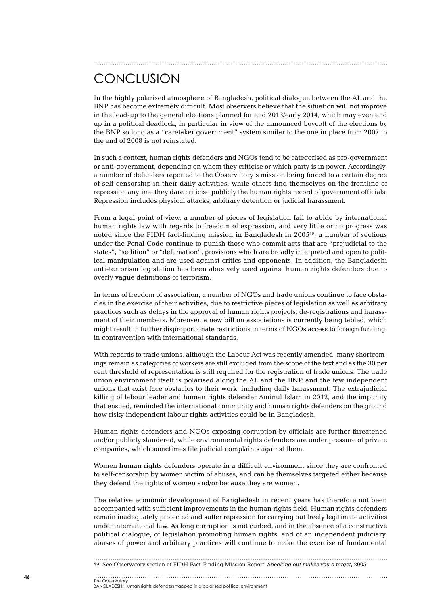# **CONCLUSION**

In the highly polarised atmosphere of Bangladesh, political dialogue between the AL and the BNP has become extremely difficult. Most observers believe that the situation will not improve in the lead-up to the general elections planned for end 2013/early 2014, which may even end up in a political deadlock, in particular in view of the announced boycott of the elections by the BNP so long as a "caretaker government" system similar to the one in place from 2007 to the end of 2008 is not reinstated.

In such a context, human rights defenders and NGOs tend to be categorised as pro-government or anti-government, depending on whom they criticise or which party is in power. Accordingly, a number of defenders reported to the Observatory's mission being forced to a certain degree of self-censorship in their daily activities, while others find themselves on the frontline of repression anytime they dare criticise publicly the human rights record of government officials. Repression includes physical attacks, arbitrary detention or judicial harassment.

From a legal point of view, a number of pieces of legislation fail to abide by international human rights law with regards to freedom of expression, and very little or no progress was noted since the FIDH fact-finding mission in Bangladesh in 200559: a number of sections under the Penal Code continue to punish those who commit acts that are "prejudicial to the states", "sedition" or "defamation", provisions which are broadly interpreted and open to political manipulation and are used against critics and opponents. In addition, the Bangladeshi anti-terrorism legislation has been abusively used against human rights defenders due to overly vague definitions of terrorism.

In terms of freedom of association, a number of NGOs and trade unions continue to face obstacles in the exercise of their activities, due to restrictive pieces of legislation as well as arbitrary practices such as delays in the approval of human rights projects, de-registrations and harassment of their members. Moreover, a new bill on associations is currently being tabled, which might result in further disproportionate restrictions in terms of NGOs access to foreign funding, in contravention with international standards.

With regards to trade unions, although the Labour Act was recently amended, many shortcomings remain as categories of workers are still excluded from the scope of the text and as the 30 per cent threshold of representation is still required for the registration of trade unions. The trade union environment itself is polarised along the AL and the BNP, and the few independent unions that exist face obstacles to their work, including daily harassment. The extrajudicial killing of labour leader and human rights defender Aminul Islam in 2012, and the impunity that ensued, reminded the international community and human rights defenders on the ground how risky independent labour rights activities could be in Bangladesh.

Human rights defenders and NGOs exposing corruption by officials are further threatened and/or publicly slandered, while environmental rights defenders are under pressure of private companies, which sometimes file judicial complaints against them.

Women human rights defenders operate in a difficult environment since they are confronted to self-censorship by women victim of abuses, and can be themselves targeted either because they defend the rights of women and/or because they are women.

The relative economic development of Bangladesh in recent years has therefore not been accompanied with sufficient improvements in the human rights field. Human rights defenders remain inadequately protected and suffer repression for carrying out freely legitimate activities under international law. As long corruption is not curbed, and in the absence of a constructive political dialogue, of legislation promoting human rights, and of an independent judiciary, abuses of power and arbitrary practices will continue to make the exercise of fundamental

The Observatory

<sup>59</sup>. See Observatory section of FIDH Fact-Finding Mission Report, *Speaking out makes you a target*, 2005.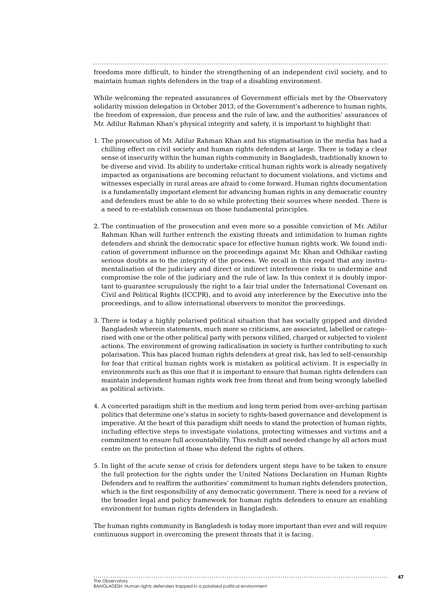freedoms more difficult, to hinder the strengthening of an independent civil society, and to maintain human rights defenders in the trap of a disabling environment.

While welcoming the repeated assurances of Government officials met by the Observatory solidarity mission delegation in October 2013, of the Government's adherence to human rights, the freedom of expression, due process and the rule of law, and the authorities' assurances of Mr. Adilur Rahman Khan's physical integrity and safety, it is important to highlight that:

- 1. The prosecution of Mr. Adilur Rahman Khan and his stigmatisation in the media has had a chilling effect on civil society and human rights defenders at large. There is today a clear sense of insecurity within the human rights community in Bangladesh, traditionally known to be diverse and vivid. Its ability to undertake critical human rights work is already negatively impacted as organisations are becoming reluctant to document violations, and victims and witnesses especially in rural areas are afraid to come forward. Human rights documentation is a fundamentally important element for advancing human rights in any democratic country and defenders must be able to do so while protecting their sources where needed. There is a need to re-establish consensus on those fundamental principles.
- 2. The continuation of the prosecution and even more so a possible conviction of Mr. Adilur Rahman Khan will further entrench the existing threats and intimidation to human rights defenders and shrink the democratic space for effective human rights work. We found indication of government influence on the proceedings against Mr. Khan and Odhikar casting serious doubts as to the integrity of the process. We recall in this regard that any instrumentalisation of the judiciary and direct or indirect interference risks to undermine and compromise the role of the judiciary and the rule of law. In this context it is doubly important to guarantee scrupulously the right to a fair trial under the International Covenant on Civil and Political Rights (ICCPR), and to avoid any interference by the Executive into the proceedings, and to allow international observers to monitor the proceedings.
- 3. There is today a highly polarised political situation that has socially gripped and divided Bangladesh wherein statements, much more so criticisms, are associated, labelled or categorised with one or the other political party with persons vilified, charged or subjected to violent actions. The environment of growing radicalisation in society is further contributing to such polarisation. This has placed human rights defenders at great risk, has led to self-censorship for fear that critical human rights work is mistaken as political activism. It is especially in environments such as this one that it is important to ensure that human rights defenders can maintain independent human rights work free from threat and from being wrongly labelled as political activists.
- 4. A concerted paradigm shift in the medium and long term period from over-arching partisan politics that determine one's status in society to rights-based governance and development is imperative. At the heart of this paradigm shift needs to stand the protection of human rights, including effective steps to investigate violations, protecting witnesses and victims and a commitment to ensure full accountability. This reshift and needed change by all actors must centre on the protection of those who defend the rights of others.
- 5. In light of the acute sense of crisis for defenders urgent steps have to be taken to ensure the full protection for the rights under the United Nations Declaration on Human Rights Defenders and to reaffirm the authorities' commitment to human rights defenders protection, which is the first responsibility of any democratic government. There is need for a review of the broader legal and policy framework for human rights defenders to ensure an enabling environment for human rights defenders in Bangladesh.

The human rights community in Bangladesh is today more important than ever and will require continuous support in overcoming the present threats that it is facing.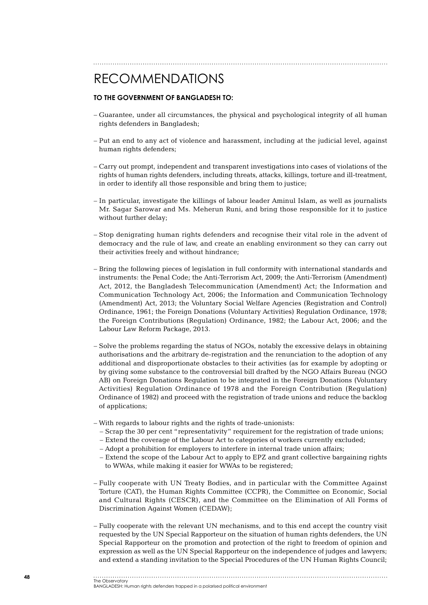## RECOMMENDATIONS

#### **To the Government of Bangladesh to:**

- Guarantee, under all circumstances, the physical and psychological integrity of all human rights defenders in Bangladesh;
- Put an end to any act of violence and harassment, including at the judicial level, against human rights defenders:
- Carry out prompt, independent and transparent investigations into cases of violations of the rights of human rights defenders, including threats, attacks, killings, torture and ill-treatment, in order to identify all those responsible and bring them to justice;
- In particular, investigate the killings of labour leader Aminul Islam, as well as journalists Mr. Sagar Sarowar and Ms. Meherun Runi, and bring those responsible for it to justice without further delay;
- Stop denigrating human rights defenders and recognise their vital role in the advent of democracy and the rule of law, and create an enabling environment so they can carry out their activities freely and without hindrance;
- Bring the following pieces of legislation in full conformity with international standards and instruments: the Penal Code; the Anti-Terrorism Act, 2009; the Anti-Terrorism (Amendment) Act, 2012, the Bangladesh Telecommunication (Amendment) Act; the Information and Communication Technology Act, 2006; the Information and Communication Technology (Amendment) Act, 2013; the Voluntary Social Welfare Agencies (Registration and Control) Ordinance, 1961; the Foreign Donations (Voluntary Activities) Regulation Ordinance, 1978; the Foreign Contributions (Regulation) Ordinance, 1982; the Labour Act, 2006; and the Labour Law Reform Package, 2013.
- Solve the problems regarding the status of NGOs, notably the excessive delays in obtaining authorisations and the arbitrary de-registration and the renunciation to the adoption of any additional and disproportionate obstacles to their activities (as for example by adopting or by giving some substance to the controversial bill drafted by the NGO Affairs Bureau (NGO AB) on Foreign Donations Regulation to be integrated in the Foreign Donations (Voluntary Activities) Regulation Ordinance of 1978 and the Foreign Contribution (Regulation) Ordinance of 1982) and proceed with the registration of trade unions and reduce the backlog of applications;
- With regards to labour rights and the rights of trade-unionists:
	- Scrap the 30 per cent "representativity" requirement for the registration of trade unions;
	- Extend the coverage of the Labour Act to categories of workers currently excluded;
	- Adopt a prohibition for employers to interfere in internal trade union affairs;
	- Extend the scope of the Labour Act to apply to EPZ and grant collective bargaining rights to WWAs, while making it easier for WWAs to be registered;
- Fully cooperate with UN Treaty Bodies, and in particular with the Committee Against Torture (CAT), the Human Rights Committee (CCPR), the Committee on Economic, Social and Cultural Rights (CESCR), and the Committee on the Elimination of All Forms of Discrimination Against Women (CEDAW);
- Fully cooperate with the relevant UN mechanisms, and to this end accept the country visit requested by the UN Special Rapporteur on the situation of human rights defenders, the UN Special Rapporteur on the promotion and protection of the right to freedom of opinion and expression as well as the UN Special Rapporteur on the independence of judges and lawyers; and extend a standing invitation to the Special Procedures of the UN Human Rights Council;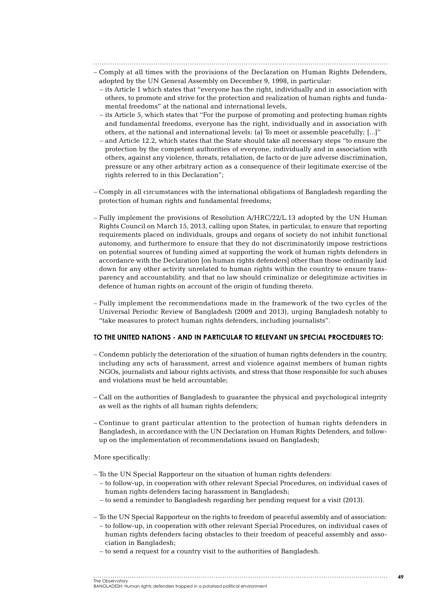- Comply at all times with the provisions of the Declaration on Human Rights Defenders, adopted by the UN General Assembly on December 9, 1998, in particular:
	- its Article 1 which states that "everyone has the right, individually and in association with others, to promote and strive for the protection and realization of human rights and fundamental freedoms" at the national and international levels,
	- its Article 5, which states that "For the purpose of promoting and protecting human rights and fundamental freedoms, everyone has the right, individually and in association with others, at the national and international levels: (a) To meet or assemble peacefully; [...]"
	- and Article 12.2, which states that the State should take all necessary steps "to ensure the protection by the competent authorities of everyone, individually and in association with others, against any violence, threats, retaliation, de facto or de jure adverse discrimination, pressure or any other arbitrary action as a consequence of their legitimate exercise of the rights referred to in this Declaration";
- Comply in all circumstances with the international obligations of Bangladesh regarding the protection of human rights and fundamental freedoms;
- Fully implement the provisions of Resolution A/HRC/22/L.13 adopted by the UN Human Rights Council on March 15, 2013, calling upon States, in particular, to ensure that reporting requirements placed on individuals, groups and organs of society do not inhibit functional autonomy, and furthermore to ensure that they do not discriminatorily impose restrictions on potential sources of funding aimed at supporting the work of human rights defenders in accordance with the Declaration [on human rights defenders] other than those ordinarily laid down for any other activity unrelated to human rights within the country to ensure transparency and accountability, and that no law should criminalize or delegitimize activities in defence of human rights on account of the origin of funding thereto.
- Fully implement the recommendations made in the framework of the two cycles of the Universal Periodic Review of Bangladesh (2009 and 2013), urging Bangladesh notably to "take measures to protect human rights defenders, including journalists".

#### **To the United Nations - and in particular to relevant UN Special Procedures to:**

- Condemn publicly the deterioration of the situation of human rights defenders in the country, including any acts of harassment, arrest and violence against members of human rights NGOs, journalists and labour rights activists, and stress that those responsible for such abuses and violations must be held accountable;
- Call on the authorities of Bangladesh to guarantee the physical and psychological integrity as well as the rights of all human rights defenders;
- Continue to grant particular attention to the protection of human rights defenders in Bangladesh, in accordance with the UN Declaration on Human Rights Defenders, and followup on the implementation of recommendations issued on Bangladesh;

More specifically:

- To the UN Special Rapporteur on the situation of human rights defenders:
	- to follow-up, in cooperation with other relevant Special Procedures, on individual cases of human rights defenders facing harassment in Bangladesh;
	- to send a reminder to Bangladesh regarding her pending request for a visit (2013).

– To the UN Special Rapporteur on the rights to freedom of peaceful assembly and of association:

- to follow-up, in cooperation with other relevant Special Procedures, on individual cases of human rights defenders facing obstacles to their freedom of peaceful assembly and association in Bangladesh;
- to send a request for a country visit to the authorities of Bangladesh.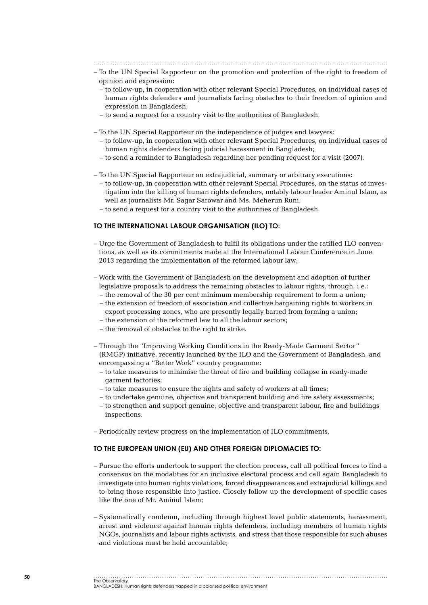- To the UN Special Rapporteur on the promotion and protection of the right to freedom of opinion and expression:
	- to follow-up, in cooperation with other relevant Special Procedures, on individual cases of human rights defenders and journalists facing obstacles to their freedom of opinion and expression in Bangladesh;
	- to send a request for a country visit to the authorities of Bangladesh.
- To the UN Special Rapporteur on the independence of judges and lawyers:
	- to follow-up, in cooperation with other relevant Special Procedures, on individual cases of human rights defenders facing judicial harassment in Bangladesh;
	- to send a reminder to Bangladesh regarding her pending request for a visit (2007).
- To the UN Special Rapporteur on extrajudicial, summary or arbitrary executions:
	- to follow-up, in cooperation with other relevant Special Procedures, on the status of investigation into the killing of human rights defenders, notably labour leader Aminul Islam, as well as journalists Mr. Sagar Sarowar and Ms. Meherun Runi;
	- to send a request for a country visit to the authorities of Bangladesh.

#### **To the International Labour Organisation (ILO) to:**

- Urge the Government of Bangladesh to fulfil its obligations under the ratified ILO conventions, as well as its commitments made at the International Labour Conference in June 2013 regarding the implementation of the reformed labour law;
- Work with the Government of Bangladesh on the development and adoption of further legislative proposals to address the remaining obstacles to labour rights, through, i.e.:
	- the removal of the 30 per cent minimum membership requirement to form a union;
	- the extension of freedom of association and collective bargaining rights to workers in export processing zones, who are presently legally barred from forming a union;
	- the extension of the reformed law to all the labour sectors;
	- the removal of obstacles to the right to strike.
- Through the "Improving Working Conditions in the Ready-Made Garment Sector" (RMGP) initiative, recently launched by the ILO and the Government of Bangladesh, and encompassing a "Better Work" country programme:
	- to take measures to minimise the threat of fire and building collapse in ready-made garment factories;
	- to take measures to ensure the rights and safety of workers at all times;
	- to undertake genuine, objective and transparent building and fire safety assessments;
	- to strengthen and support genuine, objective and transparent labour, fire and buildings inspections.
- Periodically review progress on the implementation of ILO commitments.

#### **To the European Union (EU) and other foreign diplomacies to:**

- Pursue the efforts undertook to support the election process, call all political forces to find a consensus on the modalities for an inclusive electoral process and call again Bangladesh to investigate into human rights violations, forced disappearances and extrajudicial killings and to bring those responsible into justice. Closely follow up the development of specific cases like the one of Mr. Aminul Islam;
- Systematically condemn, including through highest level public statements, harassment, arrest and violence against human rights defenders, including members of human rights NGOs, journalists and labour rights activists, and stress that those responsible for such abuses and violations must be held accountable;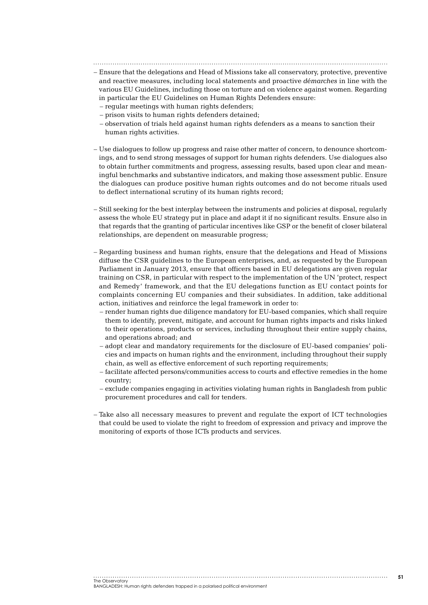- Ensure that the delegations and Head of Missions take all conservatory, protective, preventive and reactive measures, including local statements and proactive *démarches* in line with the various EU Guidelines, including those on torture and on violence against women. Regarding in particular the EU Guidelines on Human Rights Defenders ensure:
	- regular meetings with human rights defenders;
	- prison visits to human rights defenders detained;
	- observation of trials held against human rights defenders as a means to sanction their human rights activities.
- Use dialogues to follow up progress and raise other matter of concern, to denounce shortcomings, and to send strong messages of support for human rights defenders. Use dialogues also to obtain further commitments and progress, assessing results, based upon clear and meaningful benchmarks and substantive indicators, and making those assessment public. Ensure the dialogues can produce positive human rights outcomes and do not become rituals used to deflect international scrutiny of its human rights record;
- Still seeking for the best interplay between the instruments and policies at disposal, regularly assess the whole EU strategy put in place and adapt it if no significant results. Ensure also in that regards that the granting of particular incentives like GSP or the benefit of closer bilateral relationships, are dependent on measurable progress;
- Regarding business and human rights, ensure that the delegations and Head of Missions diffuse the CSR guidelines to the European enterprises, and, as requested by the European Parliament in January 2013, ensure that officers based in EU delegations are given regular training on CSR, in particular with respect to the implementation of the UN 'protect, respect and Remedy' framework, and that the EU delegations function as EU contact points for complaints concerning EU companies and their subsidiates. In addition, take additional action, initiatives and reinforce the legal framework in order to:
	- render human rights due diligence mandatory for EU-based companies, which shall require them to identify, prevent, mitigate, and account for human rights impacts and risks linked to their operations, products or services, including throughout their entire supply chains, and operations abroad; and
	- adopt clear and mandatory requirements for the disclosure of EU-based companies' policies and impacts on human rights and the environment, including throughout their supply chain, as well as effective enforcement of such reporting requirements;
	- facilitate affected persons/communities access to courts and effective remedies in the home country;
	- exclude companies engaging in activities violating human rights in Bangladesh from public procurement procedures and call for tenders.
- Take also all necessary measures to prevent and regulate the export of ICT technologies that could be used to violate the right to freedom of expression and privacy and improve the monitoring of exports of those ICTs products and services.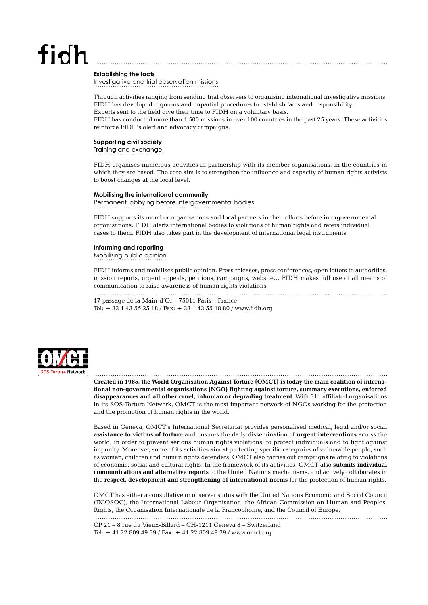# $fich$

**Establishing the facts**

Investigative and trial observation missions

Through activities ranging from sending trial observers to organising international investigative missions, FIDH has developed, rigorous and impartial procedures to establish facts and responsibility. Experts sent to the field give their time to FIDH on a voluntary basis.

FIDH has conducted more than 1 500 missions in over 100 countries in the past 25 years. These activities reinforce FIDH's alert and advocacy campaigns.

#### **Supporting civil society**

Training and exchange

FIDH organises numerous activities in partnership with its member organisations, in the countries in which they are based. The core aim is to strengthen the influence and capacity of human rights activists to boost changes at the local level.

#### **Mobilising the international community**

Permanent lobbying before intergovernmental bodies

FIDH supports its member organisations and local partners in their efforts before intergovernmental organisations. FIDH alerts international bodies to violations of human rights and refers individual cases to them. FIDH also takes part in the development of international legal instruments.

#### **Informing and reporting**

Mobilising public opinion

FIDH informs and mobilises public opinion. Press releases, press conferences, open letters to authorities, mission reports, urgent appeals, petitions, campaigns, website… FIDH makes full use of all means of communication to raise awareness of human rights violations.

17 passage de la Main-d'Or – 75011 Paris – France Tel: + 33 1 43 55 25 18 / Fax: + 33 1 43 55 18 80 / www.fidh.org



**Created in 1985, the World Organisation Against Torture (OMCT) is today the main coalition of international non-governmental organisations (NGO) fighting against torture, summary executions, enforced disappearances and all other cruel, inhuman or degrading treatment.** With 311 affiliated organisations in its SOS-Torture Network, OMCT is the most important network of NGOs working for the protection and the promotion of human rights in the world.

Based in Geneva, OMCT's International Secretariat provides personalised medical, legal and/or social **assistance to victims of torture** and ensures the daily dissemination of **urgent interventions** across the world, in order to prevent serious human rights violations, to protect individuals and to fight against impunity. Moreover, some of its activities aim at protecting specific categories of vulnerable people, such as women, children and human rights defenders. OMCT also carries out campaigns relating to violations of economic, social and cultural rights. In the framework of its activities, OMCT also **submits individual communications and alternative reports** to the United Nations mechanisms, and actively collaborates in the **respect, development and strengthening of international norms** for the protection of human rights.

OMCT has either a consultative or observer status with the United Nations Economic and Social Council (ECOSOC), the International Labour Organisation, the African Commission on Human and Peoples' Rights, the Organisation Internationale de la Francophonie, and the Council of Europe.

CP 21 – 8 rue du Vieux-Billard – CH-1211 Geneva 8 – Switzerland Tel: + 41 22 809 49 39 / Fax: + 41 22 809 49 29 / www.omct.org